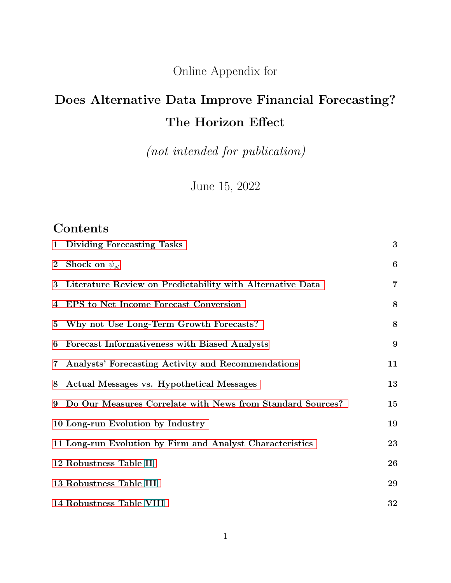Online Appendix for

# Does Alternative Data Improve Financial Forecasting? The Horizon Effect

(not intended for publication)

June 15, 2022

## **Contents**

|             | 1 Dividing Forecasting Tasks                                 | 3              |
|-------------|--------------------------------------------------------------|----------------|
|             | 2 Shock on $\psi_{st}$                                       | 6              |
| $\bf{3}$    | Literature Review on Predictability with Alternative Data    | $\overline{7}$ |
|             | 4 EPS to Net Income Forecast Conversion                      | 8              |
| $5^{\circ}$ | Why not Use Long-Term Growth Forecasts?                      | 8              |
| 6           | Forecast Informativeness with Biased Analysts                | 9              |
| $7\,$       | Analysts' Forecasting Activity and Recommendations           | 11             |
| 8           | Actual Messages vs. Hypothetical Messages                    | 13             |
|             | 9 Do Our Measures Correlate with News from Standard Sources? | 15             |
|             | 10 Long-run Evolution by Industry                            | 19             |
|             | 11 Long-run Evolution by Firm and Analyst Characteristics    | 23             |
|             | 12 Robustness Table II                                       | 26             |
|             | 13 Robustness Table III                                      | 29             |
|             | 14 Robustness Table VIII                                     | 32             |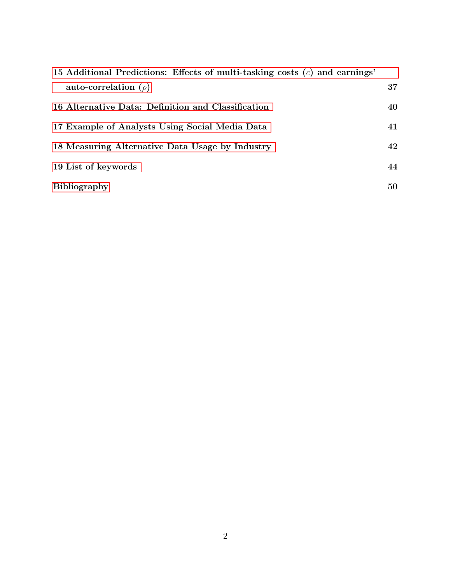| 15 Additional Predictions: Effects of multi-tasking costs $(c)$ and earnings' |    |
|-------------------------------------------------------------------------------|----|
| auto-correlation $(\rho)$                                                     | 37 |
| 16 Alternative Data: Definition and Classification                            | 40 |
| 17 Example of Analysts Using Social Media Data                                | 41 |
| 18 Measuring Alternative Data Usage by Industry                               | 42 |
| 19 List of keywords                                                           | 44 |
| <b>Bibliography</b>                                                           | 50 |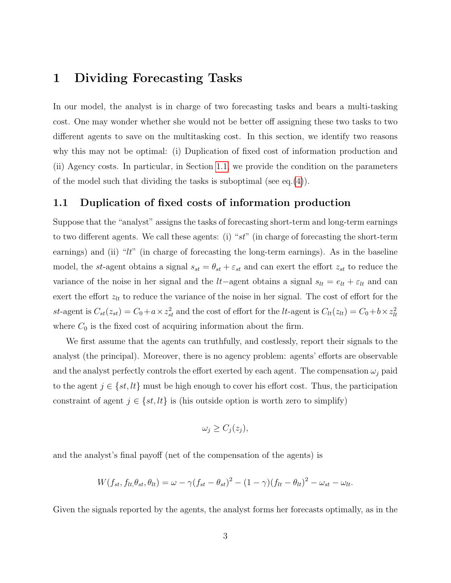### <span id="page-2-0"></span>1 Dividing Forecasting Tasks

In our model, the analyst is in charge of two forecasting tasks and bears a multi-tasking cost. One may wonder whether she would not be better off assigning these two tasks to two different agents to save on the multitasking cost. In this section, we identify two reasons why this may not be optimal: (i) Duplication of fixed cost of information production and (ii) Agency costs. In particular, in Section [1.1,](#page-2-1) we provide the condition on the parameters of the model such that dividing the tasks is suboptimal (see eq.  $(4)$ ).

#### <span id="page-2-1"></span>1.1 Duplication of fixed costs of information production

Suppose that the "analyst" assigns the tasks of forecasting short-term and long-term earnings to two different agents. We call these agents: (i) "st" (in charge of forecasting the short-term earnings) and (ii) " $lt$ " (in charge of forecasting the long-term earnings). As in the baseline model, the st-agent obtains a signal  $s_{st} = \theta_{st} + \varepsilon_{st}$  and can exert the effort  $z_{st}$  to reduce the variance of the noise in her signal and the lt−agent obtains a signal  $s_{lt} = e_{lt} + \varepsilon_{lt}$  and can exert the effort  $z_{lt}$  to reduce the variance of the noise in her signal. The cost of effort for the st-agent is  $C_{st}(z_{st}) = C_0 + a \times z_{st}^2$  and the cost of effort for the lt-agent is  $C_{lt}(z_{lt}) = C_0 + b \times z_{lt}^2$ where  $C_0$  is the fixed cost of acquiring information about the firm.

We first assume that the agents can truthfully, and costlessly, report their signals to the analyst (the principal). Moreover, there is no agency problem: agents' efforts are observable and the analyst perfectly controls the effort exerted by each agent. The compensation  $\omega_i$  paid to the agent  $j \in \{st, lt\}$  must be high enough to cover his effort cost. Thus, the participation constraint of agent  $j \in \{st, lt\}$  is (his outside option is worth zero to simplify)

$$
\omega_j \geq C_j(z_j),
$$

and the analyst's final payoff (net of the compensation of the agents) is

$$
W(f_{st}, f_{lt}, \theta_{st}, \theta_{lt}) = \omega - \gamma (f_{st} - \theta_{st})^2 - (1 - \gamma)(f_{lt} - \theta_{lt})^2 - \omega_{st} - \omega_{lt}.
$$

Given the signals reported by the agents, the analyst forms her forecasts optimally, as in the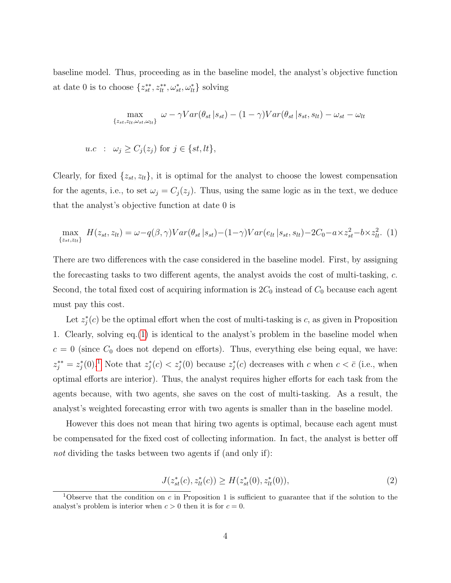baseline model. Thus, proceeding as in the baseline model, the analyst's objective function at date 0 is to choose  $\{z_{st}^{**}, z_{lt}^{**}, \omega_{st}^*, \omega_{lt}^*\}$  solving

$$
\max_{\{z_{st},z_{lt},\omega_{st},\omega_{lt}\}} \omega - \gamma Var(\theta_{st} | s_{st}) - (1 - \gamma)Var(\theta_{st} | s_{st}, s_{lt}) - \omega_{st} - \omega_{lt}
$$

$$
u.c \; : \; \omega_j \ge C_j(z_j) \text{ for } j \in \{st, lt\},
$$

Clearly, for fixed  $\{z_{st}, z_{lt}\}$ , it is optimal for the analyst to choose the lowest compensation for the agents, i.e., to set  $\omega_j = C_j(z_j)$ . Thus, using the same logic as in the text, we deduce that the analyst's objective function at date 0 is

<span id="page-3-0"></span>
$$
\max_{\{z_{st}, z_{lt}\}} H(z_{st}, z_{lt}) = \omega - q(\beta, \gamma)Var(\theta_{st} | s_{st}) - (1 - \gamma)Var(e_{lt} | s_{st}, s_{lt}) - 2C_0 - a \times z_{st}^2 - b \times z_{lt}^2.
$$
 (1)

There are two differences with the case considered in the baseline model. First, by assigning the forecasting tasks to two different agents, the analyst avoids the cost of multi-tasking, c. Second, the total fixed cost of acquiring information is  $2C_0$  instead of  $C_0$  because each agent must pay this cost.

Let  $z_j^*(c)$  be the optimal effort when the cost of multi-tasking is c, as given in Proposition 1. Clearly, solving eq.[\(1\)](#page-3-0) is identical to the analyst's problem in the baseline model when  $c = 0$  (since  $C_0$  does not depend on efforts). Thus, everything else being equal, we have:  $z_j^{**} = z_j^{*}(0)$ .<sup>[1](#page-3-1)</sup> Note that  $z_j^{*}(c) < z_j^{*}(0)$  because  $z_j^{*}(c)$  decreases with c when  $c < \bar{c}$  (i.e., when optimal efforts are interior). Thus, the analyst requires higher efforts for each task from the agents because, with two agents, she saves on the cost of multi-tasking. As a result, the analyst's weighted forecasting error with two agents is smaller than in the baseline model.

However this does not mean that hiring two agents is optimal, because each agent must be compensated for the fixed cost of collecting information. In fact, the analyst is better off not dividing the tasks between two agents if (and only if):

<span id="page-3-2"></span>
$$
J(z_{st}^*(c), z_{tt}^*(c)) \ge H(z_{st}^*(0), z_{tt}^*(0)),
$$
\n(2)

<span id="page-3-1"></span><sup>&</sup>lt;sup>1</sup>Observe that the condition on c in Proposition 1 is sufficient to guarantee that if the solution to the analyst's problem is interior when  $c > 0$  then it is for  $c = 0$ .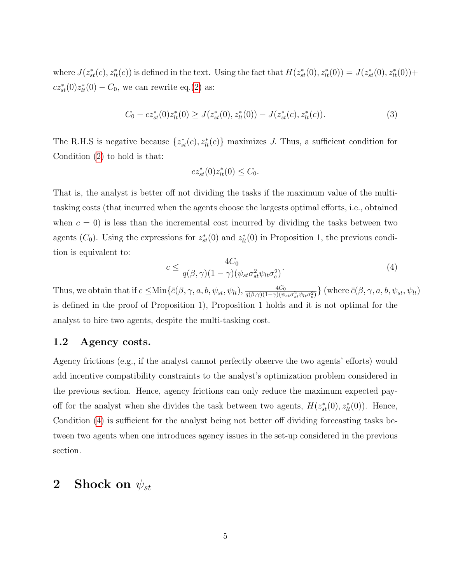where  $J(z_{st}^*(c), z_{lt}^*(c))$  is defined in the text. Using the fact that  $H(z_{st}^*(0), z_{lt}^*(0)) = J(z_{st}^*(0), z_{lt}^*(0)) +$  $cz_{st}^{*}(0)z_{lt}^{*}(0) - C_0$ , we can rewrite eq.[\(2\)](#page-3-2) as:

$$
C_0 - cz_{st}^*(0)z_{lt}^*(0) \ge J(z_{st}^*(0), z_{lt}^*(0)) - J(z_{st}^*(c), z_{lt}^*(c)).
$$
\n(3)

The R.H.S is negative because  $\{z_{st}^*(c), z_{tt}^*(c)\}\$  maximizes J. Thus, a sufficient condition for Condition [\(2\)](#page-3-2) to hold is that:

$$
cz_{st}^*(0)z_{lt}^*(0) \le C_0.
$$

That is, the analyst is better off not dividing the tasks if the maximum value of the multitasking costs (that incurred when the agents choose the largests optimal efforts, i.e., obtained when  $c = 0$ ) is less than the incremental cost incurred by dividing the tasks between two agents ( $C_0$ ). Using the expressions for  $z_{st}^*(0)$  and  $z_{lt}^*(0)$  in Proposition 1, the previous condition is equivalent to:

<span id="page-4-1"></span>
$$
c \le \frac{4C_0}{q(\beta, \gamma)(1-\gamma)(\psi_{st}\sigma_{st}^2\psi_{lt}\sigma_e^2)}.\tag{4}
$$

Thus, we obtain that if  $c \leq \text{Min}\{\bar{c}(\beta, \gamma, a, b, \psi_{st}, \psi_{lt}), \frac{4C_0}{a(\beta, \gamma)(1-\gamma)(\psi_{gt})}$  $\frac{4C_0}{q(\beta,\gamma)(1-\gamma)(\psi_{st}\sigma_{st}^2\psi_{lt}\sigma_e^2)}\}$  (where  $\bar{c}(\beta,\gamma,a,b,\psi_{st},\psi_{lt})$ is defined in the proof of Proposition 1), Proposition 1 holds and it is not optimal for the analyst to hire two agents, despite the multi-tasking cost.

#### 1.2 Agency costs.

Agency frictions (e.g., if the analyst cannot perfectly observe the two agents' efforts) would add incentive compatibility constraints to the analyst's optimization problem considered in the previous section. Hence, agency frictions can only reduce the maximum expected payoff for the analyst when she divides the task between two agents,  $H(z_{st}^*(0), z_{lt}^*(0))$ . Hence, Condition [\(4\)](#page-4-1) is sufficient for the analyst being not better off dividing forecasting tasks between two agents when one introduces agency issues in the set-up considered in the previous section.

### <span id="page-4-0"></span>2 Shock on  $\psi_{st}$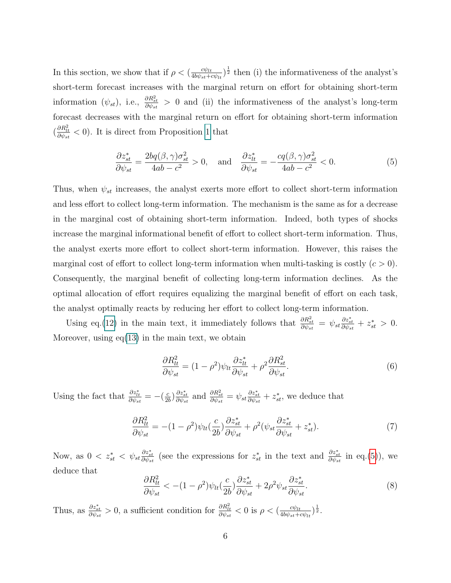In this section, we show that if  $\rho < \left(\frac{cv_{lt}}{4b\phi_{lt}}\right)$  $\frac{c\psi_{lt}}{4b\psi_{st}+c\psi_{lt}}$ <sup>1</sup>/<sub>2</sub> then (i) the informativeness of the analyst's short-term forecast increases with the marginal return on effort for obtaining short-term information  $(\psi_{st})$ , i.e.,  $\frac{\partial R_{st}^2}{\partial \psi_{st}} > 0$  and (ii) the informativeness of the analyst's long-term forecast decreases with the marginal return on effort for obtaining short-term information  $\left(\frac{\partial R_{tt}^2}{\partial \psi_{st}} < 0\right)$ . It is direct from Proposition 1 that

<span id="page-5-0"></span>
$$
\frac{\partial z_{st}^*}{\partial \psi_{st}} = \frac{2bq(\beta, \gamma)\sigma_{st}^2}{4ab - c^2} > 0, \text{ and } \frac{\partial z_{tt}^*}{\partial \psi_{st}} = -\frac{cq(\beta, \gamma)\sigma_{st}^2}{4ab - c^2} < 0.
$$
 (5)

Thus, when  $\psi_{st}$  increases, the analyst exerts more effort to collect short-term information and less effort to collect long-term information. The mechanism is the same as for a decrease in the marginal cost of obtaining short-term information. Indeed, both types of shocks increase the marginal informational benefit of effort to collect short-term information. Thus, the analyst exerts more effort to collect short-term information. However, this raises the marginal cost of effort to collect long-term information when multi-tasking is costly  $(c > 0)$ . Consequently, the marginal benefit of collecting long-term information declines. As the optimal allocation of effort requires equalizing the marginal benefit of effort on each task, the analyst optimally reacts by reducing her effort to collect long-term information.

Using eq.(12) in the main text, it immediately follows that  $\frac{\partial R_{st}^2}{\partial \psi_{st}} = \psi_{st} \frac{\partial z_{st}^*}{\partial \psi_{st}} + z_{st}^* > 0$ . Moreover, using  $eq(13)$  in the main text, we obtain

$$
\frac{\partial R_{lt}^2}{\partial \psi_{st}} = (1 - \rho^2) \psi_{lt} \frac{\partial z_{lt}^*}{\partial \psi_{st}} + \rho^2 \frac{\partial R_{st}^2}{\partial \psi_{st}}.
$$
\n
$$
(6)
$$

Using the fact that  $\frac{\partial z_{lt}^*}{\partial \psi_{st}} = -\left(\frac{c}{2l}\right)$  $\frac{c}{2b}$ )  $\frac{\partial z_{st}^{*}}{\partial \psi_{st}}$  and  $\frac{\partial R_{st}^{2}}{\partial \psi_{st}} = \psi_{st} \frac{\partial z_{st}^{*}}{\partial \psi_{st}} + z_{st}^{*}$ , we deduce that

$$
\frac{\partial R_{lt}^2}{\partial \psi_{st}} = -(1 - \rho^2) \psi_{lt} \left(\frac{c}{2b}\right) \frac{\partial z_{st}^*}{\partial \psi_{st}} + \rho^2 (\psi_{st} \frac{\partial z_{st}^*}{\partial \psi_{st}} + z_{st}^*). \tag{7}
$$

Now, as  $0 < z_{st}^* < \psi_{st} \frac{\partial z_{st}^*}{\partial \psi_{st}}$  (see the expressions for  $z_{st}^*$  in the text and  $\frac{\partial z_{st}^*}{\partial \psi_{st}}$  in eq.[\(5\)](#page-5-0)), we deduce that

$$
\frac{\partial R_{lt}^2}{\partial \psi_{st}} < -(1 - \rho^2) \psi_{lt} \left(\frac{c}{2b}\right) \frac{\partial z_{st}^*}{\partial \psi_{st}} + 2\rho^2 \psi_{st} \frac{\partial z_{st}^*}{\partial \psi_{st}}.
$$
\n(8)

Thus, as  $\frac{\partial z_{st}^*}{\partial \psi_{st}} > 0$ , a sufficient condition for  $\frac{\partial R_{lt}^2}{\partial \psi_{st}} < 0$  is  $\rho < (\frac{c\psi_{lt}}{4b\psi_{st}+d\psi_{st}})$  $\frac{c\psi_{lt}}{4b\psi_{st}+c\psi_{lt}}\big)\frac{1}{2}$ .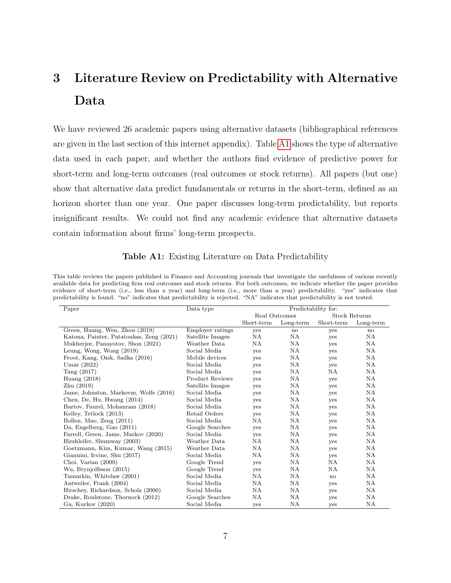# <span id="page-6-0"></span>3 Literature Review on Predictability with Alternative Data

We have reviewed 26 academic papers using alternative datasets (bibliographical references are given in the last section of this internet appendix). Table [A1](#page-6-1) shows the type of alternative data used in each paper, and whether the authors find evidence of predictive power for short-term and long-term outcomes (real outcomes or stock returns). All papers (but one) show that alternative data predict fundamentals or returns in the short-term, defined as an horizon shorter than one year. One paper discusses long-term predictability, but reports insignificant results. We could not find any academic evidence that alternative datasets contain information about firms' long-term prospects.

#### Table A1: Existing Literature on Data Predictability

<span id="page-6-1"></span>This table reviews the papers published in Finance and Accounting journals that investigate the usefulness of various recently available data for predicting firm real outcomes and stock returns. For both outcomes, we indicate whether the paper provides evidence of short-term (i.e., less than a year) and long-term (i.e., more than a year) predictability. "yes" indicates that predictability is found. "no" indicates that predictability is rejected. "NA" indicates that predictability is not tested.

| Paper                                    | Data type              |               | Predictability for: |                      |              |  |  |  |  |
|------------------------------------------|------------------------|---------------|---------------------|----------------------|--------------|--|--|--|--|
|                                          |                        | Real Outcomes |                     | <b>Stock Returns</b> |              |  |  |  |  |
|                                          |                        | Short-term    | Long-term           | Short-term           | Long-term    |  |  |  |  |
| Green, Huang, Wen, Zhou (2019)           | Employer ratings       | yes           | $\mathbf{n}$        | yes                  | $\mathbf{n}$ |  |  |  |  |
| Katona, Painter, Patatoukas, Zeng (2021) | Satellite Images       | <b>NA</b>     | NA.                 | yes                  | NA.          |  |  |  |  |
| Mukherjee, Panayotov, Shon (2021)        | Weather Data           | NA            | <b>NA</b>           | yes                  | NA.          |  |  |  |  |
| Leung, Wong, Wong $(2019)$               | Social Media           | yes           | NA                  | yes                  | NA.          |  |  |  |  |
| Froot, Kang, Ozik, Sadka (2016)          | Mobile devices         | yes           | NA.                 | yes                  | NA.          |  |  |  |  |
| Umar $(2022)$                            | Social Media           | yes           | NA                  | yes                  | NA.          |  |  |  |  |
| Tang (2017)                              | Social Media           | <b>ves</b>    | <b>NA</b>           | <b>NA</b>            | <b>NA</b>    |  |  |  |  |
| Huang $(2018)$                           | <b>Product Reviews</b> | yes           | NA                  | <b>ves</b>           | NA.          |  |  |  |  |
| Zhu(2019)                                | Satellite Images       | yes           | NA                  | <b>ves</b>           | NA           |  |  |  |  |
| Jame, Johnston, Markovm, Wolfe (2016)    | Social Media           | yes           | NA                  | yes                  | NA.          |  |  |  |  |
| Chen, De, Hu, Hwang (2014)               | Social Media           | yes           | <b>NA</b>           | yes                  | NA.          |  |  |  |  |
| Bartov, Faurel, Mohanram (2018)          | Social Media           | yes           | NA                  | yes                  | NA           |  |  |  |  |
| Kelley, Tetlock (2013)                   | Retail Orders          | yes           | NA                  | yes                  | NA           |  |  |  |  |
| Bollen, Mao, Zeng (2011)                 | Social Media           | NА            | NA                  | yes                  | NA.          |  |  |  |  |
| Da, Engelberg, Gao (2011)                | Google Searches        | <b>ves</b>    | NA.                 | <b>ves</b>           | NA.          |  |  |  |  |
| Farrell, Green, Jame, Markov (2020)      | Social Media           | yes           | NA.                 | yes                  | NA.          |  |  |  |  |
| Hirshleifer, Shumway (2003)              | Weather Data           | NА            | <b>NA</b>           | yes                  | <b>NA</b>    |  |  |  |  |
| Goetzmann, Kim, Kumar, Wang (2015)       | Weather Data           | <b>NA</b>     | <b>NA</b>           | yes                  | <b>NA</b>    |  |  |  |  |
| Giannini, Irvine, Shu (2017)             | Social Media           | <b>NA</b>     | <b>NA</b>           | yes                  | NA           |  |  |  |  |
| Choi, Varian (2009)                      | Google Trend           | yes           | NA.                 | <b>NA</b>            | NA.          |  |  |  |  |
| Wu, Brynjolfsson (2015)                  | Google Trend           | yes           | <b>NA</b>           | <b>NA</b>            | <b>NA</b>    |  |  |  |  |
| Tumarkin, Whitelaw (2001)                | Social Media           | <b>NA</b>     | <b>NA</b>           | no                   | NA.          |  |  |  |  |
| Antweiler, Frank (2004)                  | Social Media           | NA            | NA.                 | yes                  | NA.          |  |  |  |  |
| Hirschey, Richardson, Scholz (2000)      | Social Media           | <b>NA</b>     | <b>NA</b>           | yes                  | NA.          |  |  |  |  |
| Drake, Roulstone, Thornock (2012)        | Google Searches        | NA            | <b>NA</b>           | yes                  | NA.          |  |  |  |  |
| Gu, Kurkov (2020)                        | Social Media           | yes           | <b>NA</b>           | yes                  | <b>NA</b>    |  |  |  |  |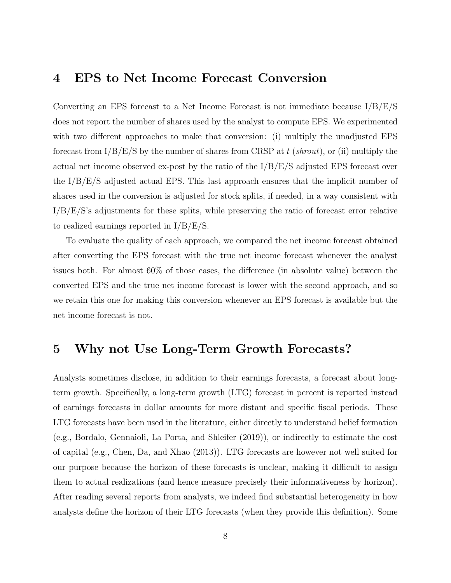### <span id="page-7-0"></span>4 EPS to Net Income Forecast Conversion

Converting an EPS forecast to a Net Income Forecast is not immediate because I/B/E/S does not report the number of shares used by the analyst to compute EPS. We experimented with two different approaches to make that conversion: (i) multiply the unadjusted EPS forecast from  $I/B/E/S$  by the number of shares from CRSP at t (shrout), or (ii) multiply the actual net income observed ex-post by the ratio of the  $I/B/E/S$  adjusted EPS forecast over the I/B/E/S adjusted actual EPS. This last approach ensures that the implicit number of shares used in the conversion is adjusted for stock splits, if needed, in a way consistent with I/B/E/S's adjustments for these splits, while preserving the ratio of forecast error relative to realized earnings reported in I/B/E/S.

To evaluate the quality of each approach, we compared the net income forecast obtained after converting the EPS forecast with the true net income forecast whenever the analyst issues both. For almost 60% of those cases, the difference (in absolute value) between the converted EPS and the true net income forecast is lower with the second approach, and so we retain this one for making this conversion whenever an EPS forecast is available but the net income forecast is not.

### <span id="page-7-1"></span>5 Why not Use Long-Term Growth Forecasts?

Analysts sometimes disclose, in addition to their earnings forecasts, a forecast about longterm growth. Specifically, a long-term growth (LTG) forecast in percent is reported instead of earnings forecasts in dollar amounts for more distant and specific fiscal periods. These LTG forecasts have been used in the literature, either directly to understand belief formation (e.g., Bordalo, Gennaioli, La Porta, and Shleifer (2019)), or indirectly to estimate the cost of capital (e.g., Chen, Da, and Xhao (2013)). LTG forecasts are however not well suited for our purpose because the horizon of these forecasts is unclear, making it difficult to assign them to actual realizations (and hence measure precisely their informativeness by horizon). After reading several reports from analysts, we indeed find substantial heterogeneity in how analysts define the horizon of their LTG forecasts (when they provide this definition). Some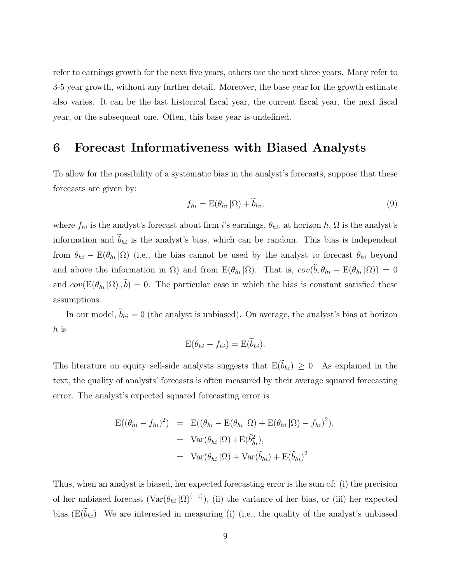refer to earnings growth for the next five years, others use the next three years. Many refer to 3-5 year growth, without any further detail. Moreover, the base year for the growth estimate also varies. It can be the last historical fiscal year, the current fiscal year, the next fiscal year, or the subsequent one. Often, this base year is undefined.

### <span id="page-8-0"></span>6 Forecast Informativeness with Biased Analysts

To allow for the possibility of a systematic bias in the analyst's forecasts, suppose that these forecasts are given by:

$$
f_{hi} = \mathcal{E}(\theta_{hi} | \Omega) + \tilde{b}_{hi}, \tag{9}
$$

where  $f_{hi}$  is the analyst's forecast about firm i's earnings,  $\theta_{hi}$ , at horizon h,  $\Omega$  is the analyst's information and  $\tilde{b}_{hi}$  is the analyst's bias, which can be random. This bias is independent from  $\theta_{hi}$  – E( $\theta_{hi}$  |Ω) (i.e., the bias cannot be used by the analyst to forecast  $\theta_{hi}$  beyond and above the information in  $\Omega$ ) and from  $E(\theta_{hi} | \Omega)$ . That is,  $cov(\tilde{b}, \theta_{hi} - E(\theta_{hi} | \Omega)) = 0$ and  $cov(E(\theta_{hi}|\Omega), \tilde{b}) = 0$ . The particular case in which the bias is constant satisfied these assumptions.

In our model,  $\widetilde{b}_{hi} = 0$  (the analyst is unbiased). On average, the analyst's bias at horizon h is

$$
E(\theta_{hi} - f_{hi}) = E(\dot{b}_{hi}).
$$

The literature on equity sell-side analysts suggests that  $E(\tilde{b}_{hi}) \geq 0$ . As explained in the text, the quality of analysts' forecasts is often measured by their average squared forecasting error. The analyst's expected squared forecasting error is

$$
E((\theta_{hi} - f_{hi})^2) = E((\theta_{hi} - E(\theta_{hi} | \Omega) + E(\theta_{hi} | \Omega) - f_{hi})^2),
$$
  
= Var(\theta\_{hi} | \Omega) + E(\tilde{b}\_{hi}^2),  
= Var(\theta\_{hi} | \Omega) + Var(\tilde{b}\_{hi}) + E(\tilde{b}\_{hi})^2.

Thus, when an analyst is biased, her expected forecasting error is the sum of: (i) the precision of her unbiased forecast  $(\text{Var}(\theta_{hi} | \Omega)^{(-1)})$ , (ii) the variance of her bias, or (iii) her expected bias ( $E(\tilde{b}_{hi})$ . We are interested in measuring (i) (i.e., the quality of the analyst's unbiased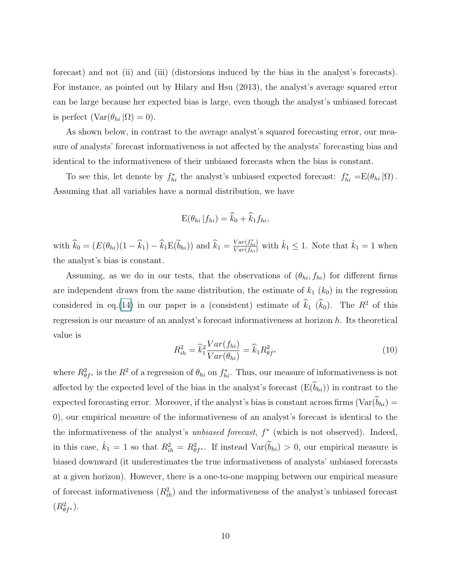forecast) and not (ii) and (iii) (distorsions induced by the bias in the analyst's forecasts). For instance, as pointed out by Hilary and Hsu (2013), the analyst's average squared error can be large because her expected bias is large, even though the analyst's unbiased forecast is perfect  $(\text{Var}(\theta_{hi} | \Omega) = 0).$ 

As shown below, in contrast to the average analyst's squared forecasting error, our measure of analysts' forecast informativeness is not affected by the analysts' forecasting bias and identical to the informativeness of their unbiased forecasts when the bias is constant.

To see this, let denote by  $f_{hi}^*$  the analyst's unbiased expected forecast:  $f_{hi}^* = E(\theta_{hi} | \Omega)$ . Assuming that all variables have a normal distribution, we have

$$
E(\theta_{hi} | f_{hi}) = \widehat{k}_0 + \widehat{k}_1 f_{hi},
$$

with  $\hat{k}_0 = (E(\theta_{hi})(1 - \hat{k}_1) - \hat{k}_1 E(\tilde{b}_{hi}))$  and  $\hat{k}_1 = \frac{Var(f_{hi}^*)}{Var(f_{hi})}$  with  $\hat{k}_1 \leq 1$ . Note that  $\hat{k}_1 = 1$  when the analyst's bias is constant.

Assuming, as we do in our tests, that the observations of  $(\theta_{hi}, f_{hi})$  for different firms are independent draws from the same distribution, the estimate of  $k_1$   $(k_0)$  in the regression considered in eq.(14) in our paper is a (consistent) estimate of  $\hat{k}_1$  ( $\hat{k}_0$ ). The  $R^2$  of this regression is our measure of an analyst's forecast informativeness at horizon h. Its theoretical value is

$$
R_{ih}^2 = \hat{k}_1^2 \frac{Var(f_{hi})}{Var(\theta_{hi})} = \hat{k}_1 R_{\theta f^*}^2
$$
\n(10)

where  $R_{\theta f^*}^2$  is the  $R^2$  of a regression of  $\theta_{hi}$  on  $f_{hi}^*$ . Thus, our measure of informativeness is not affected by the expected level of the bias in the analyst's forecast  $(E(\widetilde{b}_{hi}))$  in contrast to the expected forecasting error. Moreover, if the analyst's bias is constant across firms ( $Var(\tilde{b}_{hi})$  = 0), our empirical measure of the informativeness of an analyst's forecast is identical to the the informativeness of the analyst's *unbiased forecast*,  $f^*$  (which is not observed). Indeed, in this case,  $\hat{k}_1 = 1$  so that  $R_{ih}^2 = R_{\theta f^*}^2$ . If instead  $\text{Var}(\widetilde{b}_{hi}) > 0$ , our empirical measure is biased downward (it underestimates the true informativeness of analysts' unbiased forecasts at a given horizon). However, there is a one-to-one mapping between our empirical measure of forecast informativeness  $(R_{ih}^2)$  and the informativeness of the analyst's unbiased forecast  $(R^2_{\theta f^*}).$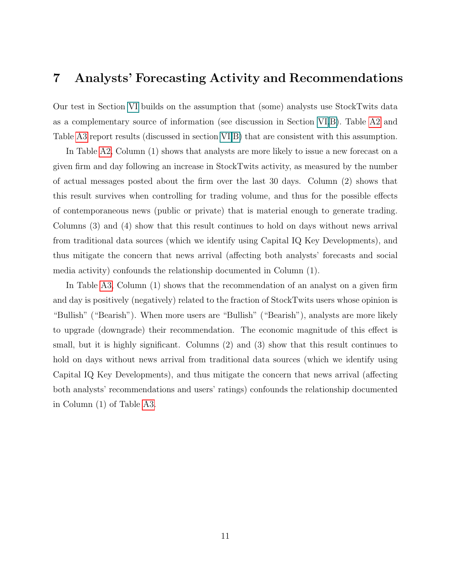### <span id="page-10-0"></span>7 Analysts' Forecasting Activity and Recommendations

Our test in Section [VI](#page-8-0) builds on the assumption that (some) analysts use StockTwits data as a complementary source of information (see discussion in Section [VI.](#page-8-0)B). Table [A2](#page-11-0) and Table [A3](#page-11-1) report results (discussed in section [VI.](#page-8-0)B) that are consistent with this assumption.

In Table [A2,](#page-11-0) Column (1) shows that analysts are more likely to issue a new forecast on a given firm and day following an increase in StockTwits activity, as measured by the number of actual messages posted about the firm over the last 30 days. Column (2) shows that this result survives when controlling for trading volume, and thus for the possible effects of contemporaneous news (public or private) that is material enough to generate trading. Columns (3) and (4) show that this result continues to hold on days without news arrival from traditional data sources (which we identify using Capital IQ Key Developments), and thus mitigate the concern that news arrival (affecting both analysts' forecasts and social media activity) confounds the relationship documented in Column (1).

In Table [A3,](#page-11-1) Column (1) shows that the recommendation of an analyst on a given firm and day is positively (negatively) related to the fraction of StockTwits users whose opinion is "Bullish" ("Bearish"). When more users are "Bullish" ("Bearish"), analysts are more likely to upgrade (downgrade) their recommendation. The economic magnitude of this effect is small, but it is highly significant. Columns (2) and (3) show that this result continues to hold on days without news arrival from traditional data sources (which we identify using Capital IQ Key Developments), and thus mitigate the concern that news arrival (affecting both analysts' recommendations and users' ratings) confounds the relationship documented in Column (1) of Table [A3.](#page-11-1)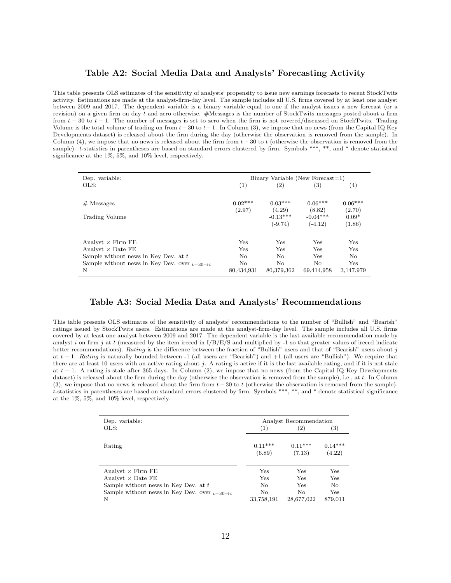#### Table A2: Social Media Data and Analysts' Forecasting Activity

<span id="page-11-0"></span>This table presents OLS estimates of the sensitivity of analysts' propensity to issue new earnings forecasts to recent StockTwits activity. Estimations are made at the analyst-firm-day level. The sample includes all U.S. firms covered by at least one analyst between 2009 and 2017. The dependent variable is a binary variable equal to one if the analyst issues a new forecast (or a revision) on a given firm on day  $t$  and zero otherwise. #Messages is the number of StockTwits messages posted about a firm from  $t - 30$  to  $t - 1$ . The number of messages is set to zero when the firm is not covered/discussed on StockTwits. Trading Volume is the total volume of trading on from  $t - 30$  to  $t - 1$ . In Column (3), we impose that no news (from the Capital IQ Key Developments dataset) is released about the firm during the day (otherwise the observation is removed from the sample). In Column (4), we impose that no news is released about the firm from  $t - 30$  to t (otherwise the observation is removed from the sample). t-statistics in parentheses are based on standard errors clustered by firm. Symbols \*\*\*, \*\*, and \* denote statistical significance at the 1%, 5%, and 10% level, respectively.

| Dep. variable:                                            |                     | $Binary Variable$ (New Forecast=1) |                                   |                                |
|-----------------------------------------------------------|---------------------|------------------------------------|-----------------------------------|--------------------------------|
| OLS:                                                      | (1)                 | (2)                                | $\left( 3\right)$                 | (4)                            |
| $#$ Messages                                              | $0.02***$<br>(2.97) | $0.03***$<br>(4.29)<br>$-0.13***$  | $0.06***$<br>(8.82)<br>$-0.04***$ | $0.06***$<br>(2.70)<br>$0.09*$ |
| Trading Volume                                            |                     | $(-9.74)$                          | $(-4.12)$                         | (1.86)                         |
| Analyst $\times$ Firm FE                                  | Yes                 | Yes                                | Yes                               | Yes                            |
| Analyst $\times$ Date FE                                  | Yes                 | Yes                                | Yes                               | Yes                            |
| Sample without news in Key Dev. at t                      | No                  | No                                 | Yes                               | No                             |
| Sample without news in Key Dev. over $t=30 \rightarrow t$ | No                  | No                                 | No                                | Yes                            |
| N                                                         | 80,434,931          | 80,379,362                         | 69,414,958                        | 3,147,979                      |

#### Table A3: Social Media Data and Analysts' Recommendations

<span id="page-11-1"></span>This table presents OLS estimates of the sensitivity of analysts' recommendations to the number of "Bullish" and "Bearish" ratings issued by StockTwits users. Estimations are made at the analyst-firm-day level. The sample includes all U.S. firms covered by at least one analyst between 2009 and 2017. The dependent variable is the last available recommendation made by analyst i on firm j at t (measured by the item ireccd in  $I/B/E/S$  and multiplied by -1 so that greater values of ireccd indicate better recommendations). Rating is the difference between the fraction of "Bullish" users and that of "Bearish" users about  $j$ at  $t-1$ . Rating is naturally bounded between -1 (all users are "Bearish") and +1 (all users are "Bullish"). We require that there are at least 10 users with an active rating about  $j$ . A rating is active if it is the last available rating, and if it is not stale at  $t-1$ . A rating is stale after 365 days. In Column (2), we impose that no news (from the Capital IQ Key Developments dataset) is released about the firm during the day (otherwise the observation is removed from the sample), i.e., at t. In Column (3), we impose that no news is released about the firm from  $t - 30$  to t (otherwise the observation is removed from the sample). t-statistics in parentheses are based on standard errors clustered by firm. Symbols \*\*\*, \*\*, and \* denote statistical significance at the 1%, 5%, and 10% level, respectively.

| Dep. variable:                                            |            | Analyst Recommendation |                |
|-----------------------------------------------------------|------------|------------------------|----------------|
| OLS:                                                      | (1)        | $\left( 2\right)$      | (3)            |
|                                                           |            |                        |                |
| Rating                                                    | $0.11***$  | $0.11***$              | $0.14***$      |
|                                                           | (6.89)     | (7.13)                 | (4.22)         |
|                                                           |            |                        |                |
| Analyst $\times$ Firm FE                                  | Yes        | Yes                    | Yes            |
| Analyst $\times$ Date FE                                  | Yes        | Yes                    | Yes            |
| Sample without news in Key Dev. at $t$                    | No         | Yes                    | N <sub>o</sub> |
| Sample without news in Key Dev. over $t=30 \rightarrow t$ | No         | No                     | Yes            |
| N                                                         | 33,758,191 | 28,677,022             | 879,011        |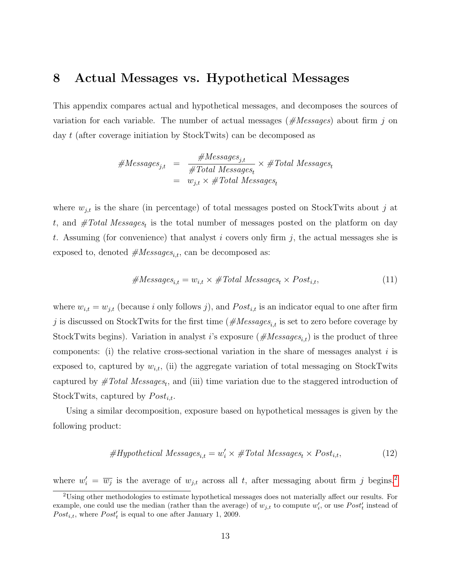### <span id="page-12-0"></span>8 Actual Messages vs. Hypothetical Messages

This appendix compares actual and hypothetical messages, and decomposes the sources of variation for each variable. The number of actual messages ( $\#Messages$ ) about firm j on day t (after coverage initiation by StockTwits) can be decomposed as

$$
\#Messages_{j,t} = \frac{\#Messages_{j,t}}{\#Total Messages_t} \times \#Total Messages_t
$$

$$
= w_{j,t} \times \#Total Messages_t
$$

where  $w_{j,t}$  is the share (in percentage) of total messages posted on StockTwits about j at t, and  $#Total Messages_t$  is the total number of messages posted on the platform on day t. Assuming (for convenience) that analyst i covers only firm j, the actual messages she is exposed to, denoted  $#Messages_{i,t}$ , can be decomposed as:

<span id="page-12-3"></span>
$$
#Messages_{i,t} = w_{i,t} \times #Total Messages_t \times Post_{i,t},
$$
\n(11)

where  $w_{i,t} = w_{j,t}$  (because i only follows j), and  $Post_{i,t}$  is an indicator equal to one after firm j is discussed on StockTwits for the first time ( $\#Messages_{i,t}$  is set to zero before coverage by StockTwits begins). Variation in analyst i's exposure  $(\text{H} {\textit{Message}} s_{i,t})$  is the product of three components: (i) the relative cross-sectional variation in the share of messages analyst  $i$  is exposed to, captured by  $w_{i,t}$ , (ii) the aggregate variation of total messaging on StockTwits captured by  $\#Total\ Messages_t$ , and (iii) time variation due to the staggered introduction of StockTwits, captured by  $Post_{i,t}$ .

Using a similar decomposition, exposure based on hypothetical messages is given by the following product:

<span id="page-12-2"></span>
$$
#Hypothetical Messages_{i,t} = w'_i \times #Total Messages_t \times Post_{i,t},
$$
\n(12)

where  $w'_i = \overline{w_j}$  is the average of  $w_{j,t}$  across all t, after messaging about firm j begins.<sup>[2](#page-12-1)</sup>

<span id="page-12-1"></span><sup>2</sup>Using other methodologies to estimate hypothetical messages does not materially affect our results. For example, one could use the median (rather than the average) of  $w_{j,t}$  to compute  $w'_i$ , or use  $Post'_t$  instead of  $Post_{i,t}$ , where  $Post'_{t}$  is equal to one after January 1, 2009.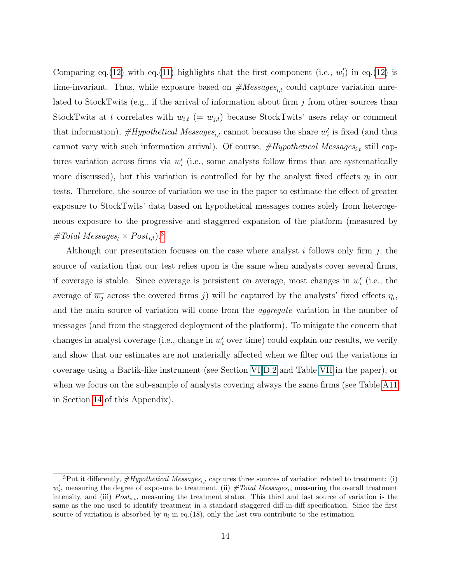Comparing eq.[\(12\)](#page-12-2) with eq.[\(11\)](#page-12-3) highlights that the first component (i.e.,  $w_i'$ ) in eq.(12) is time-invariant. Thus, while exposure based on  $#Messages_{i,t}$  could capture variation unrelated to StockTwits (e.g., if the arrival of information about firm  $j$  from other sources than StockTwits at t correlates with  $w_{i,t}$  (=  $w_{j,t}$ ) because StockTwits' users relay or comment that information),  $\# Hypothetical\ Messages_{i,t}$  cannot because the share  $w_i'$  is fixed (and thus cannot vary with such information arrival). Of course,  $\#Hypothetical\ Messages_{i,t}$  still captures variation across firms via  $w'_{i}$  (i.e., some analysts follow firms that are systematically more discussed), but this variation is controlled for by the analyst fixed effects  $\eta_i$  in our tests. Therefore, the source of variation we use in the paper to estimate the effect of greater exposure to StockTwits' data based on hypothetical messages comes solely from heterogeneous exposure to the progressive and staggered expansion of the platform (measured by #Total Messages<sub>t</sub>  $\times$  Post<sub>i,t</sub>).<sup>[3](#page-13-0)</sup>

Although our presentation focuses on the case where analyst i follows only firm j, the source of variation that our test relies upon is the same when analysts cover several firms, if coverage is stable. Since coverage is persistent on average, most changes in  $w_i'$  (i.e., the average of  $\overline{w_j}$  across the covered firms j) will be captured by the analysts' fixed effects  $\eta_i$ , and the main source of variation will come from the aggregate variation in the number of messages (and from the staggered deployment of the platform). To mitigate the concern that changes in analyst coverage (i.e., change in  $w'_{i}$  over time) could explain our results, we verify and show that our estimates are not materially affected when we filter out the variations in coverage using a Bartik-like instrument (see Section [VI](#page-8-0) D.2 and Table [VII](#page-30-0) in the paper), or when we focus on the sub-sample of analysts covering always the same firms (see Table [A11](#page-33-0) in Section [14](#page-31-0) of this Appendix).

<span id="page-13-0"></span><sup>&</sup>lt;sup>3</sup>Put it differently,  $\#Hypothetical Messages_{i,t}$  captures three sources of variation related to treatment: (i)  $w'_i$ , measuring the degree of exposure to treatment, (ii)  $#Total Messages_t$ , measuring the overall treatment intensity, and (iii)  $Post_{i,t}$ , measuring the treatment status. This third and last source of variation is the same as the one used to identify treatment in a standard staggered diff-in-diff specification. Since the first source of variation is absorbed by  $\eta_i$  in eq.(18), only the last two contribute to the estimation.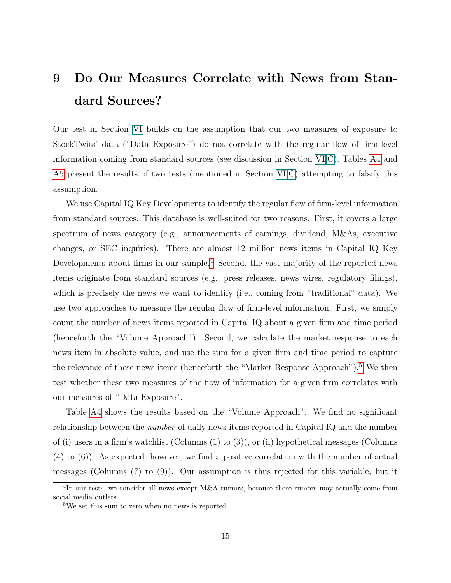# <span id="page-14-0"></span>9 Do Our Measures Correlate with News from Standard Sources?

Our test in Section [VI](#page-8-0) builds on the assumption that our two measures of exposure to StockTwits' data ("Data Exposure") do not correlate with the regular flow of firm-level information coming from standard sources (see discussion in Section [VI.](#page-8-0)C). Tables [A4](#page-16-0) and [A5](#page-17-0) present the results of two tests (mentioned in Section [VI.](#page-8-0)C) attempting to falsify this assumption.

We use Capital IQ Key Developments to identify the regular flow of firm-level information from standard sources. This database is well-suited for two reasons. First, it covers a large spectrum of news category (e.g., announcements of earnings, dividend, M&As, executive changes, or SEC inquiries). There are almost 12 million news items in Capital IQ Key Developments about firms in our sample.<sup>[4](#page-14-1)</sup> Second, the vast majority of the reported news items originate from standard sources (e.g., press releases, news wires, regulatory filings), which is precisely the news we want to identify (i.e., coming from "traditional" data). We use two approaches to measure the regular flow of firm-level information. First, we simply count the number of news items reported in Capital IQ about a given firm and time period (henceforth the "Volume Approach"). Second, we calculate the market response to each news item in absolute value, and use the sum for a given firm and time period to capture the relevance of these news items (henceforth the "Market Response Approach").<sup>[5](#page-14-2)</sup> We then test whether these two measures of the flow of information for a given firm correlates with our measures of "Data Exposure".

Table [A4](#page-16-0) shows the results based on the "Volume Approach". We find no significant relationship between the number of daily news items reported in Capital IQ and the number of (i) users in a firm's watchlist (Columns  $(1)$  to  $(3)$ ), or (ii) hypothetical messages (Columns (4) to (6)). As expected, however, we find a positive correlation with the number of actual messages (Columns (7) to (9)). Our assumption is thus rejected for this variable, but it

<span id="page-14-1"></span> ${}^{4}$ In our tests, we consider all news except M&A rumors, because these rumors may actually come from social media outlets.

<span id="page-14-2"></span><sup>5</sup>We set this sum to zero when no news is reported.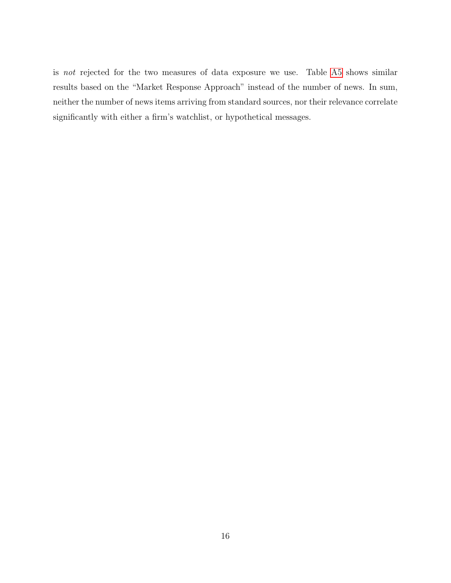is not rejected for the two measures of data exposure we use. Table [A5](#page-17-0) shows similar results based on the "Market Response Approach" instead of the number of news. In sum, neither the number of news items arriving from standard sources, nor their relevance correlate significantly with either a firm's watchlist, or hypothetical messages.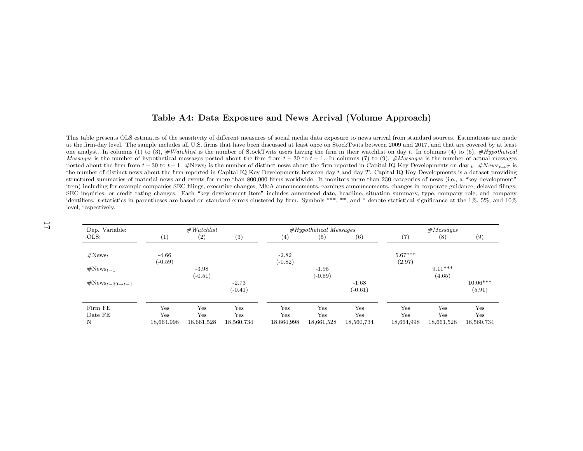#### <span id="page-16-0"></span>Table A4: Data Exposure and News Arrival (Volume Approach)

This table presents OLS estimates of the sensitivity of different measures of social media data exposure to news arrival from standard sources. Estimations are made at the firm-day level. The sample includes all U.S. firms that have been discussed at least once on StockTwits between 2009 and 2017, and that are covered by at leastone analyst. In columns (1) to (3),  $#Watchlist$  is the number of StockTwits users having the firm in their watchlist on day t. In columns (4) to (6),  $#Hypothetical$ Messages is the number of hypothetical messages posted about the firm from  $t - 30$  to  $t - 1$ . In columns (7) to (9), #Messages is the number of actual messages  $\frac{1}{2}$  to the number of actual messages posted about the f posted about the firm from  $t - 30$  to  $t - 1$ . #News<sub>t</sub> is the number of distinct news about the firm reported in Capital IQ Key Developments on day  $t$ . #News<sub>t→T</sub> is the number of distinct news about the firm reported in Capital IQ Key Developments between day  $t$  and day  $T$ . Capital IQ Key Developments is a dataset providing structured summaries of material news and events for more than 800,000 firms worldwide. It monitors more than <sup>230</sup> categories of news (i.e., <sup>a</sup> "key development" item) including for example companies SEC filings, executive changes, M&A announcements, earnings announcements, changes in corporate guidance, delayed filings, SEC inquiries, or credit rating changes. Each "key development item" includes announced date, headline, situation summary, type, company role, and company identifiers. <sup>t</sup>-statistics in parentheses are based on standard errors clustered by firm. Symbols \*\*\*, \*\*, and \* denote statistical significance at the 1%, 5%, and 10%level, respectively.

| Dep. Variable:                |            | #Watchlist   |            |            | $#Hypothetical$ Messages |            |            | #Messages  |            |
|-------------------------------|------------|--------------|------------|------------|--------------------------|------------|------------|------------|------------|
| OLS:                          | (1)        | (2)          | (3)        | (4)        | (5)                      | (6)        | (7)        | (8)        | (9)        |
| $\#\text{News}_t$             | $-4.66$    |              |            | $-2.82$    |                          |            | $5.67***$  |            |            |
|                               | $(-0.59)$  |              |            | $(-0.82)$  |                          |            | (2.97)     |            |            |
| $\#\text{News}_{t-1}$         |            | $-3.98$      |            |            | $-1.95$                  |            |            | $9.11***$  |            |
|                               |            | $(-0.51)$    |            |            | $(-0.59)$                |            |            | (4.65)     |            |
| $\#\text{News}_{t-30\to t-1}$ |            |              | $-2.73$    |            |                          | $-1.68$    |            |            | $10.06***$ |
|                               |            |              | $(-0.41)$  |            |                          | $(-0.61)$  |            |            | (5.91)     |
| Firm FE                       | Yes        | $_{\rm Yes}$ | Yes        | Yes        | Yes                      | Yes        | Yes        | Yes        | Yes        |
| Date FE                       | Yes        | Yes          | Yes        | Yes        | Yes                      | Yes        | Yes        | Yes        | Yes        |
| N                             | 18,664,998 | 18,661,528   | 18,560,734 | 18,664,998 | 18,661,528               | 18,560,734 | 18,664,998 | 18,661,528 | 18,560,734 |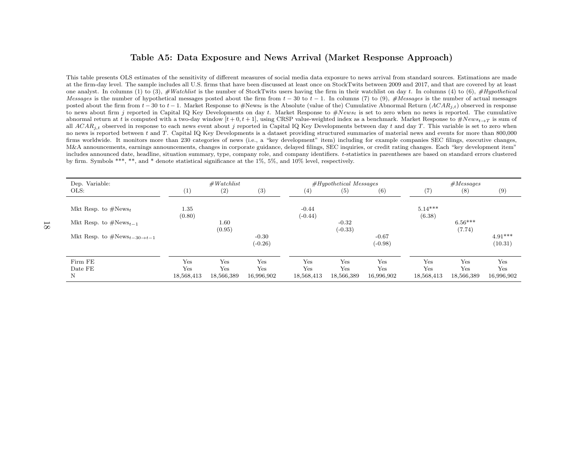#### <span id="page-17-0"></span>Table A5: Data Exposure and News Arrival (Market Response Approach)

This table presents OLS estimates of the sensitivity of different measures of social media data exposure to news arrival from standard sources. Estimations are made at the firm-day level. The sample includes all U.S. firms that have been discussed at least once on StockTwits between 2009 and 2017, and that are covered by at leastone analyst. In columns (1) to (3),  $#Watchlist$  is the number of StockTwits users having the firm in their watchlist on day t. In columns (4) to (6),  $#Hypothetical$ Messages is the number of hypothetical messages posted about the firm from  $t - 30$  to  $t - 1$ . In columns (7) to (9), #Messages is the number of actual messages posted about the firm from t. 20 to t. 1. Menhat Beconomic is posted about the firm from  $t - 30$  to  $t - 1$ . Market Response to #News<sub>t</sub> is the Absolute (value of the) Cumulative Abnormal Return  $(ACAR_{j,t})$  observed in response<br>to news about firm a reported in Capital IO Kay Davelopmen to news about firm j reported in Capital IQ Key Developments on day t. Market Response to  $\#News_t$  is set to zero when no news is reported. The cumulative<br>changes about firm at t is computed with a two day window  $[t+0,t+1]$ abnormal return at t is computed with a two-day window  $[t + 0, t + 1]$ , using CRSP value-weighted index as a benchmark. Market Response to  $\#News_{t\rightarrow T}$  is sum of all  $ACAR_{j,t}$  observed in response to each news event about j reported in Capital IQ Key Developments between day t and day T. This variable is set to zero when no news is reported between t and T. Capital IQ Key Developments is a dataset providing structured summaries of material news and events for more than 800,000 firms worldwide. It monitors more than <sup>230</sup> categories of news (i.e., <sup>a</sup> "key development" item) including for example companies SEC filings, executive changes, M&A announcements, earnings announcements, changes in corporate guidance, delayed filings, SEC inquiries, or credit rating changes. Each "key development item" includes announced date, headline, situation summary, type, company role, and company identifiers. <sup>t</sup>-statistics in parentheses are based on standard errors clusteredby firm. Symbols \*\*\*, \*\*, and \* denote statistical significance at the 1%, 5%, and 10% level, respectively.

| Dep. Variable:                             |                     | #Watchlist         |                      |            | $#Hypothetical$ Messages |                      |            | $\#Messages$        |                      |  |  |
|--------------------------------------------|---------------------|--------------------|----------------------|------------|--------------------------|----------------------|------------|---------------------|----------------------|--|--|
| OLS:                                       | $\left(1\right)$    | (2)                | (3)                  | (4)        | (5)                      | (6)                  | (7)        | (8)                 | (9)                  |  |  |
| Mkt Resp. to $\#News_t$                    | $1.35\,$            |                    |                      | $-0.44$    |                          |                      | $5.14***$  |                     |                      |  |  |
| Mkt Resp. to $\#News_{t-1}$                | (0.80)              | $1.60\,$<br>(0.95) |                      | $(-0.44)$  | $-0.32$<br>$(-0.33)$     |                      | (6.38)     | $6.56***$<br>(7.74) |                      |  |  |
| Mkt Resp. to $\#\text{News}_{t-30\to t-1}$ |                     |                    | $-0.30$<br>$(-0.26)$ |            |                          | $-0.67$<br>$(-0.98)$ |            |                     | $4.91***$<br>(10.31) |  |  |
| Firm FE<br>Date FE                         | $_{\rm Yes}$<br>Yes | Yes<br>Yes         | Yes<br>Yes           | Yes<br>Yes | Yes<br>Yes               | Yes<br>Yes           | Yes<br>Yes | Yes<br>Yes          | Yes<br>Yes           |  |  |
| Ν                                          | 18,568,413          | 18,566,389         | 16,996,902           | 18,568,413 | 18,566,389               | 16,996,902           | 18,568,413 | 18,566,389          | 16,996,902           |  |  |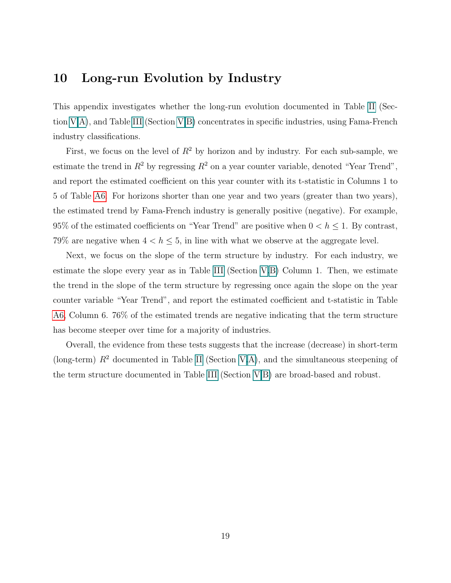### <span id="page-18-0"></span>10 Long-run Evolution by Industry

This appendix investigates whether the long-run evolution documented in Table [II](#page-23-0) (Section [V](#page-7-1).A), and Table [III](#page-24-0) (Section [V.](#page-7-1)B) concentrates in specific industries, using Fama-French industry classifications.

First, we focus on the level of  $R^2$  by horizon and by industry. For each sub-sample, we estimate the trend in  $R^2$  by regressing  $R^2$  on a year counter variable, denoted "Year Trend". and report the estimated coefficient on this year counter with its t-statistic in Columns 1 to 5 of Table [A6.](#page-19-0) For horizons shorter than one year and two years (greater than two years), the estimated trend by Fama-French industry is generally positive (negative). For example, 95% of the estimated coefficients on "Year Trend" are positive when  $0 < h \leq 1$ . By contrast, 79% are negative when  $4 < h \leq 5$ , in line with what we observe at the aggregate level.

Next, we focus on the slope of the term structure by industry. For each industry, we estimate the slope every year as in Table [III](#page-24-0) (Section [V.](#page-7-1)B) Column 1. Then, we estimate the trend in the slope of the term structure by regressing once again the slope on the year counter variable "Year Trend", and report the estimated coefficient and t-statistic in Table [A6,](#page-19-0) Column 6. 76% of the estimated trends are negative indicating that the term structure has become steeper over time for a majority of industries.

Overall, the evidence from these tests suggests that the increase (decrease) in short-term (long-term)  $R^2$  documented in Table [II](#page-23-0) (Section [V.](#page-7-1)A), and the simultaneous steepening of the term structure documented in Table [III](#page-24-0) (Section [V.](#page-7-1)B) are broad-based and robust.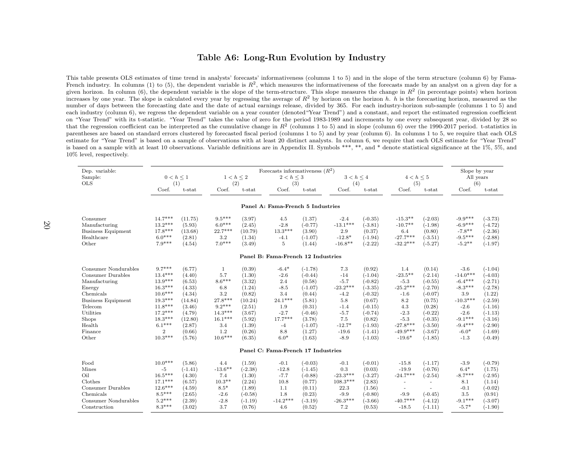#### <span id="page-19-0"></span>Table A6: Long-Run Evolution by Industry

This table presents OLS estimates of time trend in analysts' forecasts' informativeness (columns <sup>1</sup> to 5) and in the slope of the term structure (column 6) by Fama-French industry. In columns (1) to (5), the dependent variable is  $R^2$ , which measures the informativeness of the forecasts made by an analyst on a given day for a given horizon. In column (6), the dependent variable is the slope of the term-structure. This slope measures the change in  $R^2$  (in percentage points) when horizon increases by one year. The slope is calculated every year by regressing the average of  $R^2$  by horizon on the horizon h. h is the forecasting horizon, measured as the number of days between the forecasting date and the date of actual earnings release, divided by 365. For each industry-horizon sub-sample (columns <sup>1</sup> to 5) and each industry (column 6), we regress the dependent variable on <sup>a</sup> year counter (denoted"Year Trend") and <sup>a</sup> constant, and report the estimated regression coefficient on "Year Trend" with its t-statistic. "Year Trend" takes the value of zero for the period 1983-1989 and increments by one every subsequent year, divided by 28 sothat the regression coefficient can be interpreted as the cumulative change in  $R^2$  (columns 1 to 5) and in slope (column 6) over the 1990-2017 period. t-statistics in parentheses are based on standard errors clustered by forecasted fiscal period (columns <sup>1</sup> to 5) and by year (column 6). In columns <sup>1</sup> to 5, we require that each OLS estimate for "Year Trend" is based on <sup>a</sup> sample of observations with at least 20 distinct analysts. In column 6, we require that each OLS estimate for "Year Trend" is based on <sup>a</sup> sample with at least 10 observations. Variable definitions are in Appendix II. Symbols \*\*\*, \*\*, and \* denote statistical significance at the 1%, 5%, and10% level, respectively.

| Dep. variable:            |                |           |                |           | Forecasts informativeness $(R^2)$  |           |                |           |                |           | Slope by year        |           |  |
|---------------------------|----------------|-----------|----------------|-----------|------------------------------------|-----------|----------------|-----------|----------------|-----------|----------------------|-----------|--|
| Sample:                   | $0 < h \leq 1$ |           | $1 < h \leq 2$ |           | $2 < h \leq 3$                     |           | $3 < h \leq 4$ |           | $4 < h \leq 5$ |           | All years            |           |  |
| <b>OLS</b>                | (1)            |           | (2)            |           | (3)                                |           | (4)            |           | (5)            |           | (6)                  |           |  |
|                           | Coef.          | $t$ -stat | Coef.          | t-stat    | Coef.                              | t-stat    | Coef.          | t-stat    | Coef.          | t-stat    | Coef.                | $t$ -stat |  |
|                           |                |           |                |           | Panel A: Fama-French 5 Industries  |           |                |           |                |           |                      |           |  |
| Consumer                  | $14.7***$      | (11.75)   | $9.5***$       | (3.97)    | 4.5                                | (1.37)    | $-2.4$         | $(-0.35)$ | $-15.3**$      | $(-2.03)$ | $-9.9***$            | $(-3.73)$ |  |
| Manufacturing             | $13.2***$      | (5.93)    | $6.0***$       | (2.45)    | $-2.8$                             | $(-0.77)$ | $-13.1***$     | $(-3.81)$ | $-10.7**$      | $(-1.98)$ | $-6.9***$            | $(-4.72)$ |  |
| <b>Business Equipment</b> | $17.8***$      | (13.68)   | 22.7***        | (10.79)   | $13.3***$                          | (3.90)    | 2.9            | (0.37)    | 6.4            | (0.80)    | $-7.8**$             | $(-2.36)$ |  |
| Healthcare                | $6.0***$       | (2.81)    | 3.2            | (1.34)    | $-4.1$                             | $(-1.07)$ | $-12.8*$       | $(-1.94)$ | $-27.7***$     | $(-3.51)$ | $-9.5***$            | $(-2.88)$ |  |
| Other                     | $7.9***$       | (4.54)    | $7.0***$       | (3.49)    | 5                                  | (1.44)    | $-16.8**$      | $(-2.22)$ | $-32.2***$     | $(-5.27)$ | $-5.2**$             | $(-1.97)$ |  |
|                           |                |           |                |           |                                    |           |                |           |                |           |                      |           |  |
|                           |                |           |                |           | Panel B: Fama-French 12 Industries |           |                |           |                |           |                      |           |  |
| Consumer Nondurables      | $9.7***$       | (6.77)    | $\mathbf{1}$   | (0.39)    | $-6.4*$                            | $(-1.78)$ | 7.3            | (0.92)    | 1.4            | (0.14)    | $-3.6$               | $(-1.04)$ |  |
| Consumer Durables         | $13.4***$      | (4.40)    | 5.7            | (1.30)    | $-2.6$                             | $(-0.44)$ | $-14$          | $(-1.04)$ | $-23.5***$     | $(-2.14)$ | $-14.0***$           | $(-4.03)$ |  |
| Manufacturing             | $13.9***$      | (6.53)    | $8.6***$       | (3.32)    | 2.4                                | (0.58)    | $-5.7$         | $(-0.82)$ | $-5.3$         | $(-0.55)$ | $-6.4***$            | $(-2.71)$ |  |
| Energy                    | $16.3***$      | (4.33)    | 6.8            | (1.24)    | $-8.5$                             | $(-1.07)$ | $-23.2***$     | $(-3.35)$ | $-25.2***$     | $(-2.70)$ | $-8.3***$            | $(-2.78)$ |  |
| Chemicals                 | $10.6***$      | (4.34)    | 3.2            | (0.82)    | 3.4                                | (0.44)    | $-4.2$         | $(-0.32)$ | $-1.6$         | $(-0.07)$ | 3.9                  | (1.22)    |  |
| <b>Business Equipment</b> | $19.3***$      | (14.84)   | $27.8***$      | (10.24)   | $24.1***$                          | (5.81)    | 5.8            | (0.67)    | 8.2            | (0.75)    | $\text{-}10.3^{***}$ | $(-2.59)$ |  |
| Telecom                   | $11.8***$      | (3.46)    | $9.2***$       | (2.51)    | 1.9                                | (0.31)    | $-1.4$         | $(-0.15)$ | 4.3            | (0.28)    | $-2.6$               | $(-1.16)$ |  |
| Utilities                 | $17.2***$      | (4.79)    | $14.3***$      | (3.67)    | $-2.7$                             | $(-0.46)$ | $-5.7$         | $(-0.74)$ | $-2.3$         | $(-0.22)$ | $-2.6$               | $(-1.13)$ |  |
| Shops                     | $18.3***$      | (12.80)   | $16.1***$      | (5.92)    | $17.7***$                          | (3.78)    | 7.5            | (0.82)    | $-5.3$         | $(-0.35)$ | $-9.1***$            | $(-3.16)$ |  |
| Health                    | $6.1***$       | (2.87)    | 3.4            | (1.39)    | $-4$                               | $(-1.07)$ | $-12.7*$       | $(-1.93)$ | $-27.8***$     | $(-3.50)$ | $-9.4***$            | $(-2.90)$ |  |
| Finance                   | $\overline{2}$ | (0.66)    | 1.2            | (0.26)    | 8.8                                | (1.27)    | $-19.6$        | $(-1.41)$ | $-49.9***$     | $(-3.67)$ | $-6.0*$              | $(-1.69)$ |  |
| Other                     | $10.3***$      | (5.76)    | $10.6***$      | (6.35)    | $6.0*$                             | (1.63)    | $-8.9$         | $(-1.03)$ | $-19.6*$       | $(-1.85)$ | $-1.3$               | $(-0.49)$ |  |
|                           |                |           |                |           | Panel C: Fama-French 17 Industries |           |                |           |                |           |                      |           |  |
|                           |                |           |                |           |                                    |           |                |           |                |           |                      |           |  |
| Food                      | $10.0***$      | (5.86)    | 4.4            | (1.59)    | $-0.1$                             | $(-0.03)$ | $-0.1$         | $(-0.01)$ | $-15.8$        | $(-1.17)$ | $-3.9$               | $(-0.79)$ |  |
| Mines                     | $-5$           | $(-1.41)$ | $-13.6***$     | $(-2.38)$ | $-12.8$                            | $(-1.45)$ | 0.3            | (0.03)    | $-19.9$        | $(-0.76)$ | $6.4*$               | (1.75)    |  |
| Oil                       | $16.5***$      | (4.30)    | 7.4            | (1.30)    | $-7.7$                             | $(-0.88)$ | $-23.3***$     | $(-3.27)$ | $-24.7***$     | $(-2.54)$ | $-8.7***$            | $(-2.95)$ |  |
| Clothes                   | $17.1***$      | (6.57)    | $10.3**$       | (2.24)    | 10.8                               | (0.77)    | $108.3***$     | (2.83)    |                | ٠         | 8.1                  | (1.14)    |  |
| Consumer Durables         | $12.6***$      | (4.59)    | $8.5*$         | (1.89)    | 1.1                                | (0.11)    | 22.3           | (1.56)    | $\sim$         |           | $-0.1$               | $(-0.02)$ |  |
| Chemicals                 | $8.5***$       | (2.65)    | $-2.6$         | $(-0.58)$ | 1.8                                | (0.23)    | $-9.9$         | $(-0.80)$ | $-9.9$         | $(-0.45)$ | 3.5                  | (0.91)    |  |
| Consumer Nondurables      | $5.2***$       | (2.39)    | $-2.8$         | $(-1.19)$ | $-14.2***$                         | $(-3.19)$ | $-26.3***$     | $(-3.66)$ | $-40.7***$     | $(-4.12)$ | $-9.1***$            | $(-3.07)$ |  |
| Construction              | $8.3***$       | (3.02)    | 3.7            | (0.76)    | 4.6                                | (0.52)    | 7.2            | (0.53)    | $-18.5$        | $(-1.11)$ | $-5.7*$              | $(-1.90)$ |  |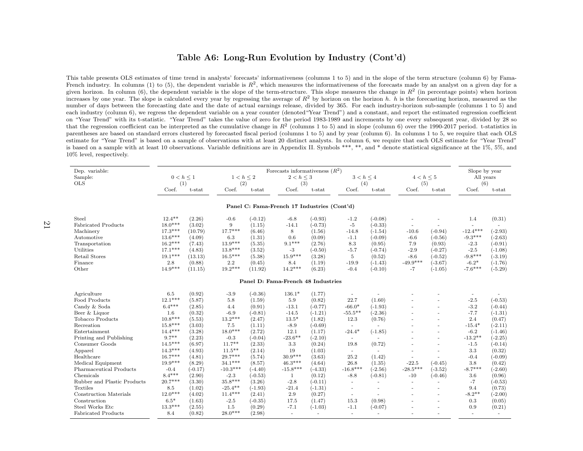#### Table A6: Long-Run Evolution by Industry (Cont'd)

This table presents OLS estimates of time trend in analysts' forecasts' informativeness (columns <sup>1</sup> to 5) and in the slope of the term structure (column 6) by Fama-French industry. In columns (1) to (5), the dependent variable is  $R^2$ , which measures the informativeness of the forecasts made by an analyst on a given day for a given horizon. In column (6), the dependent variable is the slope of the term-structure. This slope measures the change in  $R^2$  (in percentage points) when horizon increases by one year. The slope is calculated every year by regressing the average of  $R^2$  by horizon on the horizon h. h is the forecasting horizon, measured as the number of days between the forecasting date and the date of actual earnings release, divided by 365. For each industry-horizon sub-sample (columns <sup>1</sup> to 5) and each industry (column 6), we regress the dependent variable on <sup>a</sup> year counter (denoted"Year Trend") and <sup>a</sup> constant, and report the estimated regression coefficient on "Year Trend" with its t-statistic. "Year Trend" takes the value of zero for the period 1983-1989 and increments by one every subsequent year, divided by 28 sothat the regression coefficient can be interpreted as the cumulative change in  $R<sup>2</sup>$  (columns 1 to 5) and in slope (column 6) over the 1990-2017 period. t-statistics in parentheses are based on standard errors clustered by forecasted fiscal period (columns <sup>1</sup> to 5) and by year (column 6). In columns <sup>1</sup> to 5, we require that each OLS estimate for "Year Trend" is based on <sup>a</sup> sample of observations with at least 20 distinct analysts. In column 6, we require that each OLS estimate for "Year Trend" is based on <sup>a</sup> sample with at least 10 observations. Variable definitions are in Appendix II. Symbols \*\*\*, \*\*, and \* denote statistical significance at the 1%, 5%, and10% level, respectively.

| Dep. variable:                     |                |           |                |           | Forecasts informativeness $(R^2)$           |           |                          |                          |                |                          | Slope by year |           |
|------------------------------------|----------------|-----------|----------------|-----------|---------------------------------------------|-----------|--------------------------|--------------------------|----------------|--------------------------|---------------|-----------|
| Sample:                            | $0 < h \leq 1$ |           | $1 < h \leq 2$ |           | $2 < h \leq 3$                              |           | $3 < h \leq 4$           |                          | $4 < h \leq 5$ |                          | All years     |           |
| <b>OLS</b>                         | (1)            |           | (2)            |           | (3)                                         |           | (4)                      |                          | (5)            |                          | (6)           |           |
|                                    | Coef.          | t-stat    | Coef.          | $t$ -stat | Coef.                                       | t-stat    | Coef.                    | t-stat                   | Coef.          | $t$ -stat                | Coef.         | $t$ -stat |
|                                    |                |           |                |           | Panel C: Fama-French 17 Industries (Cont'd) |           |                          |                          |                |                          |               |           |
| Steel                              | $12.4***$      | (2.26)    | $-0.6$         | $(-0.12)$ | $-6.8$                                      | $(-0.93)$ | $-1.2$                   | $(-0.08)$                |                |                          | 1.4           | (0.31)    |
| <b>Fabricated Products</b>         | $18.0***$      | (3.02)    | 9              | (1.15)    | $-14.1$                                     | $(-0.73)$ | $-5$                     | $(-0.33)$                |                |                          | $\sim$        |           |
| Machinery                          | $17.3***$      | (10.79)   | $17.7***$      | (6.46)    | 8                                           | (1.56)    | $-14.8$                  | $(-1.54)$                | $-10.6$        | $(-0.94)$                | $-12.4***$    | $(-2.93)$ |
| Automotive                         | $13.6***$      | (4.09)    | 6.3            | (1.31)    | 0.6                                         | (0.09)    | $-1.1$                   | $(-0.09)$                | $-6.6$         | $(-0.56)$                | $-9.3***$     | $(-2.63)$ |
| Transportation                     | $16.2***$      | (7.43)    | $13.9***$      | (5.35)    | $9.1***$                                    | (2.76)    | 8.3                      | (0.95)                   | 7.9            | (0.93)                   | $-2.3$        | $(-0.91)$ |
| Utilities                          | $17.1***$      | (4.83)    | $13.8***$      | (3.52)    | $-3$                                        | $(-0.50)$ | $-5.7$                   | $(-0.74)$                | $-2.9$         | $(-0.27)$                | $-2.5$        | $(-1.08)$ |
| Retail Stores                      | $19.1***$      | (13.13)   | $16.5***$      | (5.38)    | $15.9***$                                   | (3.28)    | 5                        | (0.52)                   | $-8.6$         | $(-0.52)$                | $-9.8***$     | $(-3.19)$ |
| Finance                            | 2.8            | (0.88)    | 2.2            | (0.45)    | 8.4                                         | (1.19)    | $-19.9$                  | $(-1.43)$                | $-49.9***$     | $(-3.67)$                | $-6.2*$       | $(-1.76)$ |
| Other                              | $14.9***$      | (11.15)   | $19.2***$      | (11.92)   | $14.2***$                                   | (6.23)    | $-0.4$                   | $(-0.10)$                | $-7$           | $(-1.05)$                | $-7.6***$     | $(-5.29)$ |
|                                    |                |           |                |           |                                             |           |                          |                          |                |                          |               |           |
| Panel D: Fama-French 48 Industries |                |           |                |           |                                             |           |                          |                          |                |                          |               |           |
| Agriculture                        | 6.5            | (0.92)    | $-3.9$         | $(-0.36)$ | $136.1*$                                    | (1.77)    |                          |                          |                |                          |               |           |
| Food Products                      | $12.1***$      | (5.87)    | 5.8            | (1.59)    | 5.9                                         | (0.82)    | 22.7                     | (1.60)                   |                |                          | $-2.5$        | $(-0.53)$ |
| Candy & Soda                       | $6.4***$       | (2.85)    | 4.4            | (0.91)    | $-13.1$                                     | $(-0.77)$ | $-66.0*$                 | $(-1.93)$                |                | $\overline{\phantom{a}}$ | $-3.2$        | $(-0.44)$ |
| Beer & Liquor                      | 1.6            | (0.32)    | $-6.9$         | $(-0.81)$ | $-14.5$                                     | $(-1.21)$ | $-55.5**$                | $(-2.36)$                |                |                          | $-7.7$        | $(-1.31)$ |
| Tobacco Products                   | $10.8***$      | (5.53)    | $13.2***$      | (2.47)    | $13.5*$                                     | (1.82)    | 12.3                     | (0.76)                   |                | ٠                        | 2.4           | (0.47)    |
| Recreation                         | $15.8***$      | (3.03)    | 7.5            | (1.11)    | $-8.9$                                      | $(-0.69)$ |                          | $\overline{a}$           |                |                          | $-15.4*$      | $(-2.11)$ |
| Entertainment                      | $14.4***$      | (3.28)    | $18.0***$      | (2.72)    | 12.1                                        | (1.17)    | $-24.4*$                 | $(-1.85)$                |                | $\overline{a}$           | $-6.2$        | $(-1.46)$ |
| Printing and Publishing            | $9.7**$        | (2.23)    | $-0.3$         | $(-0.04)$ | $-23.6***$                                  | $(-2.10)$ | $\sim$                   | $\overline{\phantom{a}}$ |                | ٠                        | $-13.2**$     | $(-2.25)$ |
| Consumer Goods                     | $14.5***$      | (6.97)    | $11.7**$       | (2.33)    | 3.3                                         | (0.24)    | 19.8                     | (0.72)                   |                | $\overline{a}$           | $-1.5$        | $(-0.14)$ |
| Apparel                            | $14.3***$      | (4.93)    | $11.5***$      | (2.14)    | 19                                          | (1.03)    | $\overline{\phantom{a}}$ |                          |                |                          | 3.3           | (0.32)    |
| Healthcare                         | $16.7***$      | (4.81)    | $29.7***$      | (5.74)    | $30.9***$                                   | (3.63)    | 25.2                     | (1.42)                   |                |                          | $-0.4$        | $(-0.09)$ |
| Medical Equipment                  | $19.9***$      | (8.29)    | $34.1***$      | (8.57)    | $46.3***$                                   | (4.64)    | 26.8                     | (1.35)                   | $-22.5$        | $(-0.45)$                | 3.8           | (0.42)    |
| Pharmaceutical Products            | $-0.4$         | $(-0.17)$ | $-10.3***$     | $(-4.40)$ | $-15.8***$                                  | $(-4.33)$ | $-16.8***$               | $(-2.56)$                | $-28.5***$     | $(-3.52)$                | $-8.7***$     | $(-2.60)$ |
| Chemicals                          | $8.4***$       | (2.90)    | $-2.3$         | $(-0.53)$ | 1                                           | (0.12)    | $-8.8$                   | $(-0.81)$                | $-10$          | $(-0.46)$                | 3.6           | (0.96)    |
| Rubber and Plastic Products        | $20.7***$      | (3.30)    | $35.8***$      | (3.26)    | $-2.8$                                      | $(-0.11)$ | ÷.                       | $\sim$                   | $\sim$         | ÷.                       | $-7$          | $(-0.53)$ |
| Textiles                           | 8.5            | (1.02)    | $-25.4***$     | $(-1.93)$ | $-21.4$                                     | $(-1.31)$ |                          |                          |                |                          | 9.4           | (0.73)    |
| Construction Materials             | $12.0***$      | (4.02)    | $11.4***$      | (2.41)    | 2.9                                         | (0.27)    | $\sim$                   |                          |                | $\overline{a}$           | $-8.2**$      | $(-2.00)$ |
| Construction                       | $6.5*$         | (1.63)    | $-2.5$         | $(-0.35)$ | 17.5                                        | (1.47)    | 15.3                     | (0.98)                   |                |                          | 0.3           | (0.05)    |
| Steel Works Etc                    | $13.3***$      | (2.55)    | 1.5            | (0.29)    | $-7.1$                                      | $(-1.03)$ | $-1.1$                   | $(-0.07)$                |                |                          | 0.9           | (0.21)    |
| <b>Fabricated Products</b>         | 8.4            | (0.82)    | $28.0***$      | (2.98)    | $\sim$                                      | $\sim$    | $\sim$                   | $\sim$                   |                | ۳                        | $\sim$        |           |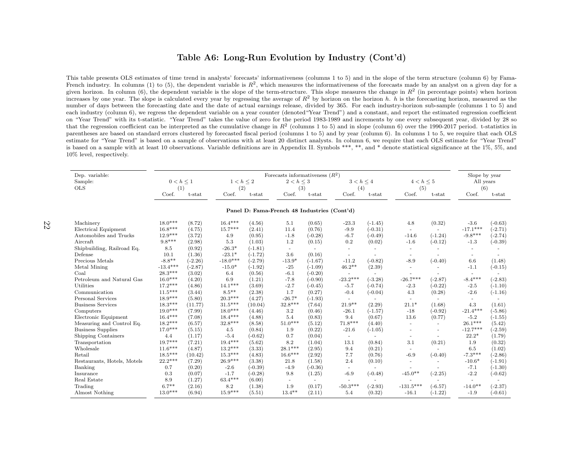#### Table A6: Long-Run Evolution by Industry (Cont'd)

This table presents OLS estimates of time trend in analysts' forecasts' informativeness (columns <sup>1</sup> to 5) and in the slope of the term structure (column 6) by Fama-French industry. In columns (1) to (5), the dependent variable is  $R^2$ , which measures the informativeness of the forecasts made by an analyst on a given day for a given horizon. In column (6), the dependent variable is the slope of the term-structure. This slope measures the change in  $R^2$  (in percentage points) when horizon increases by one year. The slope is calculated every year by regressing the average of  $R^2$  by horizon on the horizon h. h is the forecasting horizon, measured as the number of days between the forecasting date and the date of actual earnings release, divided by 365. For each industry-horizon sub-sample (columns <sup>1</sup> to 5) and each industry (column 6), we regress the dependent variable on <sup>a</sup> year counter (denoted"Year Trend") and <sup>a</sup> constant, and report the estimated regression coefficient on "Year Trend" with its t-statistic. "Year Trend" takes the value of zero for the period 1983-1989 and increments by one every subsequent year, divided by 28 sothat the regression coefficient can be interpreted as the cumulative change in  $R<sup>2</sup>$  (columns 1 to 5) and in slope (column 6) over the 1990-2017 period. t-statistics in parentheses are based on standard errors clustered by forecasted fiscal period (columns <sup>1</sup> to 5) and by year (column 6). In columns <sup>1</sup> to 5, we require that each OLS estimate for "Year Trend" is based on <sup>a</sup> sample of observations with at least 20 distinct analysts. In column 6, we require that each OLS estimate for "Year Trend" is based on <sup>a</sup> sample with at least 10 observations. Variable definitions are in Appendix II. Symbols \*\*\*, \*\*, and \* denote statistical significance at the 1%, 5%, and10% level, respectively.

| Dep. variable:                        |                |                  |                      | Forecasts informativeness $(R^2)$ |                                             |                |                                     |           |                                    |                          |                                 |           |  |  |
|---------------------------------------|----------------|------------------|----------------------|-----------------------------------|---------------------------------------------|----------------|-------------------------------------|-----------|------------------------------------|--------------------------|---------------------------------|-----------|--|--|
| Sample:                               | $0 < h \leq 1$ |                  | $1 < h \leq 2$       |                                   | $2 < h \leq 3$                              |                | $3 < h \leq 4$                      |           | $4 < h \leq 5$                     |                          | Slope by year<br>All years      |           |  |  |
| <b>OLS</b>                            | (1)            |                  | (2)                  |                                   | (3)                                         |                | (4)                                 |           | (5)                                |                          | (6)                             |           |  |  |
|                                       | Coef.          | t-stat           | Coef.                | t-stat                            | Coef.                                       | t-stat         | Coef.                               | t-stat    | Coef.                              | $t$ -stat                | Coef.                           | t-stat    |  |  |
|                                       |                |                  |                      |                                   | Panel D: Fama-French 48 Industries (Cont'd) |                |                                     |           |                                    |                          |                                 |           |  |  |
| Machinery                             | $18.0***$      | (8.72)           | $16.4***$            | (4.56)                            | 5.1                                         | (0.65)         | $-23.3$                             | $(-1.45)$ | 4.8                                | (0.32)                   | $-3.6$                          | $(-0.63)$ |  |  |
| Electrical Equipment                  | $16.8***$      | (4.75)           | $15.7***$            | (2.41)                            | 11.4                                        | (0.76)         | $-9.9$                              | $(-0.31)$ |                                    | ٠                        | $-17.1***$                      | $(-2.71)$ |  |  |
| Automobiles and Trucks                | $12.9***$      | (3.72)           | 4.9                  | (0.95)                            | $-1.8$                                      | $(-0.28)$      | $-6.7$                              | $(-0.49)$ | $\sim$<br>$-14.6$                  | $(-1.24)$                | $-9.8***$                       | $(-2.74)$ |  |  |
| Aircraft                              | $9.8***$       | (2.98)           | 5.3                  | (1.03)                            | 1.2                                         | (0.15)         | 0.2                                 | (0.02)    | $-1.6$                             | $(-0.12)$                | $-1.3$                          | $(-0.39)$ |  |  |
|                                       |                |                  |                      |                                   |                                             |                |                                     |           |                                    |                          |                                 |           |  |  |
| Shipbuilding, Railroad Eq.<br>Defense | 8.5<br>10.1    | (0.92)<br>(1.36) | $-26.3*$<br>$-23.1*$ | $(-1.81)$<br>$(-1.72)$            | $\sim$<br>3.6                               | ٠<br>(0.16)    | $\sim$                              |           |                                    | ٠                        | ٠                               |           |  |  |
| Precious Metals                       | $-8.8**$       | $(-2.26)$        | $-18.0***$           | $(-2.79)$                         | $-13.9*$                                    | $(-1.67)$      | $\overline{\phantom{a}}$<br>$-11.2$ | $(-0.82)$ | $\overline{\phantom{a}}$<br>$-8.9$ | ٠<br>$(-0.40)$           | $\overline{\phantom{a}}$<br>6.6 |           |  |  |
|                                       | $-13.4***$     |                  | $-15.0*$             |                                   |                                             |                | $46.2**$                            |           |                                    |                          |                                 | (1.48)    |  |  |
| Metal Mining                          | $28.3***$      | $-2.87$          |                      | $(-1.92)$                         | $-25$                                       | $(-1.09)$      |                                     | (2.39)    | $\overline{\phantom{a}}$           |                          | $-1.1$                          | $(-0.15)$ |  |  |
| Coal                                  | $16.0***$      | (3.02)           | 6.4                  | (0.56)                            | $-6.1$                                      | $(-0.20)$      | $\sim$<br>$-23.2***$                |           | $-26.7***$                         |                          | $\sim$<br>$-8.4***$             |           |  |  |
| Petroleum and Natural Gas             | $17.2***$      | (4.20)           | 6.9<br>$14.1***$     | (1.21)                            | $-7.8$                                      | $(-0.90)$      |                                     | $(-3.28)$ |                                    | $(-2.87)$                |                                 | $(-2.83)$ |  |  |
| Utilities                             |                | (4.86)           |                      | (3.69)                            | $-2.7$                                      | $(-0.45)$      | $-5.7$                              | $(-0.74)$ | $-2.3$                             | $(-0.22)$                | $-2.5$                          | $(-1.10)$ |  |  |
| Communication                         | $11.5***$      | (3.44)           | $8.5***$             | (2.38)                            | 1.7                                         | (0.27)         | $-0.4$                              | $(-0.04)$ | 4.3                                | (0.28)                   | $-2.6$                          | $(-1.16)$ |  |  |
| Personal Services                     | $18.9***$      | (5.80)           | $20.3***$            | (4.27)                            | $-26.7*$                                    | $(-1.93)$      | $\sim$                              |           | $\sim$                             | $\overline{a}$           | $\overline{\phantom{a}}$        |           |  |  |
| <b>Business Services</b>              | $18.3***$      | (11.77)          | $31.5***$            | (10.04)                           | 32.8***                                     | (7.64)         | $21.9**$                            | (2.29)    | $21.1*$                            | (1.68)                   | 4.3                             | (1.61)    |  |  |
| Computers                             | $19.0***$      | (7.99)           | $18.0***$            | (4.46)                            | 3.2                                         | (0.46)         | $-26.1$                             | $(-1.57)$ | $-18$                              | $(-0.92)$                | $-21.4***$                      | $(-5.86)$ |  |  |
| Electronic Equipment                  | $16.4***$      | (7.08)           | $18.4***$            | (4.88)                            | 5.4                                         | (0.83)         | 9.4                                 | (0.67)    | 13.6                               | (0.77)                   | $-5.2$                          | $(-1.55)$ |  |  |
| Measuring and Control Eq.             | $18.2***$      | (6.57)           | $32.8***$            | (8.58)                            | $51.0***$                                   | (5.12)         | $71.8***$                           | (4.40)    | $\overline{\phantom{a}}$           | $\overline{\phantom{a}}$ | $26.1***$                       | (5.42)    |  |  |
| <b>Business Supplies</b>              | $17.0***$      | (5.15)           | 4.5                  | (0.84)                            | 1.9                                         | (0.22)         | $-21.6$                             | $(-1.05)$ |                                    |                          | $-12.7***$                      | $(-2.59)$ |  |  |
| Shipping Containers                   | 4.4            | (1.17)           | $-5.4$               | $(-0.62)$                         | 0.7                                         | (0.04)         |                                     |           |                                    |                          | $22.2*$                         | (1.79)    |  |  |
| Transportation                        | $19.7***$      | (7.21)           | $19.4***$            | (5.62)                            | 8.2                                         | (1.04)         | 13.1                                | (0.84)    | 3.1                                | (0.21)                   | 1.9                             | (0.32)    |  |  |
| Wholesale                             | $11.6***$      | (4.87)           | $13.2***$            | (3.33)                            | $28.1***$                                   | (2.95)         | 9.4                                 | (0.21)    |                                    |                          | 6.5                             | (1.02)    |  |  |
| Retail                                | $18.5***$      | (10.42)          | $15.3***$            | (4.83)                            | $16.6***$                                   | (2.92)         | 7.7                                 | (0.76)    | $-6.9$                             | $(-0.40)$                | $-7.3***$                       | $(-2.86)$ |  |  |
| Restaurants, Hotels, Motels           | $22.2***$      | (7.29)           | $26.9***$            | (3.38)                            | 21.8                                        | (1.58)         | 2.4                                 | (0.10)    | $\overline{\phantom{a}}$           | $\sim$                   | $-10.6*$                        | $(-1.91)$ |  |  |
| Banking                               | 0.7            | (0.20)           | $-2.6$               | $(-0.39)$                         | $-4.9$                                      | $(-0.36)$      | $\sim$                              |           |                                    |                          | $-7.1$                          | $(-1.30)$ |  |  |
| Insurance                             | 0.3            | (0.07)           | $-1.7$               | $(-0.28)$                         | 9.8                                         | (1.25)         | $-6.9$                              | $(-0.48)$ | $-45.0**$                          | $(-2.25)$                | $-2.2$                          | $(-0.62)$ |  |  |
| Real Estate                           | 8.9            | (1.27)           | $63.4***$            | (6.00)                            | $\sim$                                      | $\overline{a}$ |                                     |           |                                    |                          | $\overline{\phantom{a}}$        |           |  |  |
| Trading                               | $6.7**$        | (2.16)           | 8.2                  | (1.38)                            | 1.9                                         | (0.17)         | $-50.3***$                          | $(-2.93)$ | $-131.5***$                        | $(-6.57)$                | $-14.0**$                       | $(-2.37)$ |  |  |
| Almost Nothing                        | $13.0***$      | (6.94)           | $15.9***$            | (5.51)                            | $13.4***$                                   | (2.11)         | 5.4                                 | (0.32)    | $-16.1$                            | $(-1.22)$                | $-1.9$                          | $(-0.61)$ |  |  |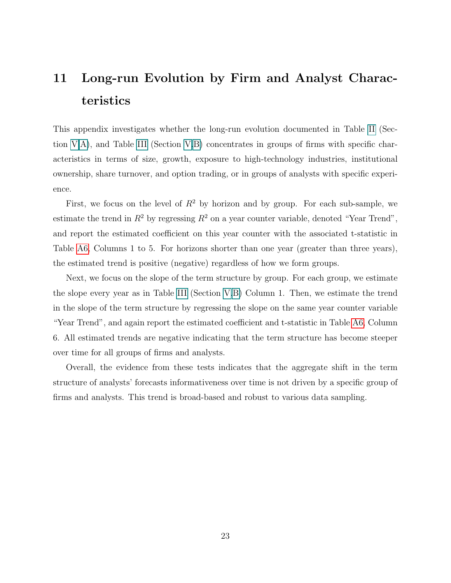# <span id="page-22-0"></span>11 Long-run Evolution by Firm and Analyst Characteristics

This appendix investigates whether the long-run evolution documented in Table [II](#page-23-0) (Section [V.](#page-7-1)A), and Table [III](#page-24-0) (Section [V.](#page-7-1)B) concentrates in groups of firms with specific characteristics in terms of size, growth, exposure to high-technology industries, institutional ownership, share turnover, and option trading, or in groups of analysts with specific experience.

First, we focus on the level of  $R^2$  by horizon and by group. For each sub-sample, we estimate the trend in  $R^2$  by regressing  $R^2$  on a year counter variable, denoted "Year Trend", and report the estimated coefficient on this year counter with the associated t-statistic in Table [A6,](#page-19-0) Columns 1 to 5. For horizons shorter than one year (greater than three years), the estimated trend is positive (negative) regardless of how we form groups.

Next, we focus on the slope of the term structure by group. For each group, we estimate the slope every year as in Table [III](#page-24-0) (Section [V.](#page-7-1)B) Column 1. Then, we estimate the trend in the slope of the term structure by regressing the slope on the same year counter variable "Year Trend", and again report the estimated coefficient and t-statistic in Table [A6,](#page-19-0) Column 6. All estimated trends are negative indicating that the term structure has become steeper over time for all groups of firms and analysts.

Overall, the evidence from these tests indicates that the aggregate shift in the term structure of analysts' forecasts informativeness over time is not driven by a specific group of firms and analysts. This trend is broad-based and robust to various data sampling.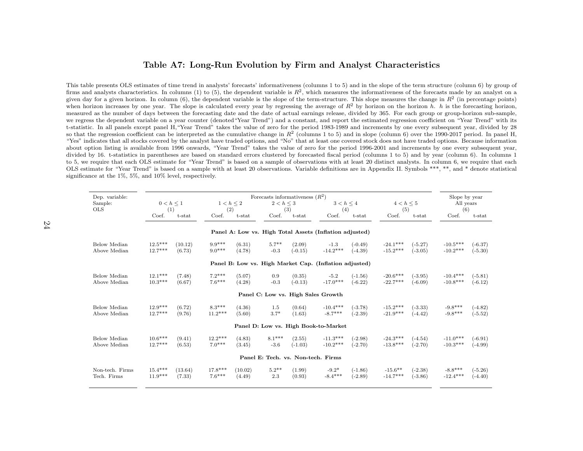#### <span id="page-23-0"></span>Table A7: Long-Run Evolution by Firm and Analyst Characteristics

This table presents OLS estimates of time trend in analysts' forecasts' informativeness (columns <sup>1</sup> to 5) and in the slope of the term structure (column 6) by group offirms and analysts characteristics. In columns (1) to (5), the dependent variable is  $R^2$ , which measures the informativeness of the forecasts made by an analyst on a given day for a given horizon. In column (6), the dependent variable is the slope of the term-structure. This slope measures the change in  $R^2$  (in percentage points) when horizon increases by one year. The slope is calculated every year by regressing the average of  $R^2$  by horizon on the horizon h. h is the forecasting horizon, measured as the number of days between the forecasting date and the date of actual earnings release, divided by 365. For each group or group-horizon sub-sample,we regress the dependent variable on a year counter (denoted "Year Trend") and a constant, and report the estimated regression coefficient on "Year Trend" with its t-statistic. In all panels except panel H,"Year Trend" takes the value of zero for the period 1983-1989 and increments by one every subsequent year, divided by 28so that the regression coefficient can be interpreted as the cumulative change in  $R^2$  (columns 1 to 5) and in slope (column 6) over the 1990-2017 period. In panel H, "Yes" indicates that all stocks covered by the analyst have traded options, and "No" that at least one covered stock does not have traded options. Because information about option listing is available from 1996 onwards, "Year Trend" takes the value of zero for the period 1996-2001 and increments by one every subsequent year,divided by 16. t-statistics in parentheses are based on standard errors clustered by forecasted fiscal period (columns 1 to 5) and by year (column 6). In columns 1 to 5, we require that each OLS estimate for "Year Trend" is based on <sup>a</sup> sample of observations with at least 20 distinct analysts. In column 6, we require that each OLS estimate for "Year Trend" is based on <sup>a</sup> sample with at least 20 observations. Variable definitions are in Appendix II. Symbols \*\*\*, \*\*, and \* denote statisticalsignificance at the 1%, 5%, and 10% level, respectively.

| Dep. variable:  |           |                |           |         | Forecasts informativeness $(R^2)$  |           |                                                         |           |                |           | Slope by year        |           |  |
|-----------------|-----------|----------------|-----------|---------|------------------------------------|-----------|---------------------------------------------------------|-----------|----------------|-----------|----------------------|-----------|--|
| Sample:         |           | $0 < h \leq 1$ | 1 < h < 2 |         | $2 < h \leq 3$                     |           | $3 < h \leq 4$                                          |           | $4 < h \leq 5$ |           |                      | All years |  |
| <b>OLS</b>      | (1)       |                | (2)       |         |                                    | (3)       | (4)                                                     |           | (5)            |           | (6)                  |           |  |
|                 | Coef.     | $t$ -stat      | Coef.     | t-stat  | Coef.                              | $t$ -stat | Coef.                                                   | t-stat    | Coef.          | $t$ -stat | Coef.                | $t$ -stat |  |
|                 |           |                |           |         |                                    |           | Panel A: Low vs. High Total Assets (Inflation adjusted) |           |                |           |                      |           |  |
| Below Median    | $12.5***$ | (10.12)        | $9.9***$  | (6.31)  | $5.7**$                            | (2.09)    | $-1.3$                                                  | $(-0.49)$ | $-24.1***$     | $(-5.27)$ | $-10.5***$           | $(-6.37)$ |  |
| Above Median    | $12.7***$ | (6.73)         | $9.0***$  | (4.78)  | $-0.3$                             | $(-0.15)$ | $-14.2***$                                              | $(-4.39)$ | $-15.2***$     | $(-3.05)$ | $-10.2***$           | $(-5.30)$ |  |
|                 |           |                |           |         |                                    |           | Panel B: Low vs. High Market Cap. (Inflation adjusted)  |           |                |           |                      |           |  |
| Below Median    | $12.1***$ | (7.48)         | $7.2***$  | (5.07)  | 0.9                                | (0.35)    | $-5.2$                                                  | $(-1.56)$ | $-20.6***$     | $(-3.95)$ | $-10.4***$           | $(-5.81)$ |  |
| Above Median    | $10.3***$ | (6.67)         | $7.6***$  | (4.28)  | $-0.3$                             | $(-0.13)$ | $-17.0***$                                              | $(-6.22)$ | $-22.7***$     | $(-6.09)$ | $-10.8***$           | $(-6.12)$ |  |
|                 |           |                |           |         |                                    |           | Panel C: Low vs. High Sales Growth                      |           |                |           |                      |           |  |
| Below Median    | $12.9***$ | (6.72)         | $8.3***$  | (4.36)  | 1.5                                | (0.64)    | $-10.4***$                                              | $(-3.78)$ | $-15.2***$     | $(-3.33)$ | $-9.8***$            | $(-4.82)$ |  |
| Above Median    | $12.7***$ | (9.76)         | $11.2***$ | (5.60)  | $3.7*$                             | (1.63)    | $-8.7***$                                               | $(-2.39)$ | $-21.9***$     | $(-4.42)$ | $-9.8***$            | $(-5.52)$ |  |
|                 |           |                |           |         |                                    |           | Panel D: Low vs. High Book-to-Market                    |           |                |           |                      |           |  |
| Below Median    | $10.6***$ | (9.41)         | $12.2***$ | (4.83)  | $8.1***$                           | (2.55)    | $-11.3***$                                              | $(-2.98)$ | $-24.3***$     | $(-4.54)$ | $\text{-}11.0^{***}$ | $(-6.91)$ |  |
| Above Median    | $12.7***$ | (6.53)         | $7.0***$  | (3.45)  | $-3.6$                             | $(-1.03)$ | $-10.2***$                                              | $(-2.70)$ | $-13.8***$     | $(-2.70)$ | $-10.3***$           | $(-4.99)$ |  |
|                 |           |                |           |         | Panel E: Tech. vs. Non-tech. Firms |           |                                                         |           |                |           |                      |           |  |
| Non-tech. Firms | $15.4***$ | (13.64)        | $17.8***$ | (10.02) | $5.2**$                            | (1.99)    | $-9.2*$                                                 | $(-1.86)$ | $-15.6**$      | $(-2.38)$ | $-8.8***$            | $(-5.26)$ |  |
| Tech. Firms     | $11.9***$ | (7.33)         | $7.6***$  | (4.49)  | 2.3                                | (0.93)    | $-8.4***$                                               | $(-2.89)$ | $-14.7***$     | $(-3.86)$ | $-12.4***$           | $(-4.40)$ |  |
|                 |           |                |           |         |                                    |           |                                                         |           |                |           |                      |           |  |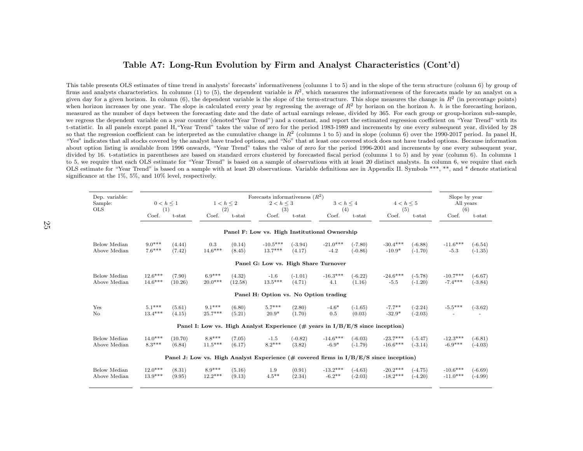#### <span id="page-24-0"></span>Table A7: Long-Run Evolution by Firm and Analyst Characteristics (Cont'd)

This table presents OLS estimates of time trend in analysts' forecasts' informativeness (columns <sup>1</sup> to 5) and in the slope of the term structure (column 6) by group offirms and analysts characteristics. In columns (1) to (5), the dependent variable is  $R^2$ , which measures the informativeness of the forecasts made by an analyst on a given day for a given horizon. In column (6), the dependent variable is the slope of the term-structure. This slope measures the change in  $R^2$  (in percentage points) when horizon increases by one year. The slope is calculated every year by regressing the average of  $R^2$  by horizon on the horizon h. h is the forecasting horizon, measured as the number of days between the forecasting date and the date of actual earnings release, divided by 365. For each group or group-horizon sub-sample,we regress the dependent variable on a year counter (denoted "Year Trend") and a constant, and report the estimated regression coefficient on "Year Trend" with its t-statistic. In all panels except panel H,"Year Trend" takes the value of zero for the period 1983-1989 and increments by one every subsequent year, divided by 28so that the regression coefficient can be interpreted as the cumulative change in  $R^2$  (columns 1 to 5) and in slope (column 6) over the 1990-2017 period. In panel H, "Yes" indicates that all stocks covered by the analyst have traded options, and "No" that at least one covered stock does not have traded options. Because information about option listing is available from 1996 onwards, "Year Trend" takes the value of zero for the period 1996-2001 and increments by one every subsequent year,divided by 16. t-statistics in parentheses are based on standard errors clustered by forecasted fiscal period (columns 1 to 5) and by year (column 6). In columns 1 to 5, we require that each OLS estimate for "Year Trend" is based on <sup>a</sup> sample of observations with at least 20 distinct analysts. In column 6, we require that each OLS estimate for "Year Trend" is based on <sup>a</sup> sample with at least 20 observations. Variable definitions are in Appendix II. Symbols \*\*\*, \*\*, and \* denote statisticalsignificance at the 1%, 5%, and 10% level, respectively.

| Dep. variable:                       |                |         |                |         | Forecasts informativeness $(R^2)$                                                        |           |                |           |                |           |            | Slope by year |  |  |
|--------------------------------------|----------------|---------|----------------|---------|------------------------------------------------------------------------------------------|-----------|----------------|-----------|----------------|-----------|------------|---------------|--|--|
| Sample:                              | $0 < h \leq 1$ |         | $1 < h \leq 2$ |         | $2 < h \leq 3$                                                                           |           | $3 < h \leq 4$ |           | $4 < h \leq 5$ |           | All years  |               |  |  |
| <b>OLS</b>                           |                | (1)     | (2)            |         | (3)                                                                                      |           | (4)            |           | (5)            |           | (6)        |               |  |  |
|                                      | Coef.          | t-stat  | Coef.          | t-stat  | Coef.                                                                                    | $t$ -stat | Coef.          | $t$ -stat | Coef.          | t-stat    | Coef.      | t-stat        |  |  |
|                                      |                |         |                |         | Panel F: Low vs. High Institutional Ownership                                            |           |                |           |                |           |            |               |  |  |
| Below Median                         | $9.0***$       | (4.44)  | 0.3            | (0.14)  | $-10.5***$                                                                               | $(-3.94)$ | $-21.0***$     | $(-7.80)$ | $-30.4***$     | $(-6.88)$ | $-11.6***$ | $(-6.54)$     |  |  |
| Above Median                         | $7.6***$       | (7.42)  | $14.6***$      | (8.45)  | $13.7***$                                                                                | (4.17)    | $-4.2$         | $(-0.86)$ | $-10.9*$       | $(-1.70)$ | $-5.3$     | $(-1.35)$     |  |  |
| Panel G: Low vs. High Share Turnover |                |         |                |         |                                                                                          |           |                |           |                |           |            |               |  |  |
| Below Median                         | $12.6***$      | (7.90)  | $6.9***$       | (4.32)  | $-1.6$                                                                                   | $(-1.01)$ | $-16.3***$     | $(-6.22)$ | $-24.6***$     | $(-5.78)$ | $-10.7***$ | $(-6.67)$     |  |  |
| Above Median                         | $14.6***$      | (10.26) | $20.0***$      | (12.58) | $13.5***$                                                                                | (4.71)    | 4.1            | (1.16)    | $-5.5$         | $(-1.20)$ | $-7.4***$  | $(-3.84)$     |  |  |
|                                      |                |         |                |         | Panel H: Option vs. No Option trading                                                    |           |                |           |                |           |            |               |  |  |
| Yes                                  | $5.1***$       | (5.61)  | $9.1***$       | (6.80)  | $5.7***$                                                                                 | (2.80)    | $-4.6*$        | $(-1.65)$ | $-7.7**$       | $(-2.24)$ | $-5.5***$  | $(-3.62)$     |  |  |
| No                                   | $13.4***$      | (4.15)  | $25.7***$      | (5.21)  | $20.9*$                                                                                  | (1.70)    | 0.5            | (0.03)    | $-32.9*$       | $(-2.03)$ |            |               |  |  |
|                                      |                |         |                |         | Panel I: Low vs. High Analyst Experience $(\# \text{ years in I/B/E/S since inception})$ |           |                |           |                |           |            |               |  |  |
| Below Median                         | $14.0***$      | (10.70) | $8.8***$       | (7.05)  | $-1.5$                                                                                   | $(-0.82)$ | $-14.6***$     | $(-6.03)$ | $-23.7***$     | $(-5.47)$ | $-12.3***$ | $(-6.81)$     |  |  |
| Above Median                         | $8.3***$       | (6.84)  | $11.5***$      | (6.17)  | $8.2***$                                                                                 | (3.82)    | $-6.9*$        | $(-1.79)$ | $-16.6***$     | $(-3.14)$ | $-6.9***$  | $(-4.03)$     |  |  |
|                                      |                |         |                |         | Panel J: Low vs. High Analyst Experience (# covered firms in $I/B/E/S$ since inception)  |           |                |           |                |           |            |               |  |  |
| Below Median                         | $12.0***$      | (8.31)  | $8.9***$       | (5.16)  | 1.9                                                                                      | (0.91)    | $-13.2***$     | $(-4.63)$ | $-20.2***$     | $(-4.75)$ | $-10.6***$ | $(-6.69)$     |  |  |
| Above Median                         | $13.9***$      | (9.95)  | $12.2***$      | (9.13)  | $4.5***$                                                                                 | (2.34)    | $-6.2**$       | $(-2.03)$ | $-18.2***$     | $(-4.20)$ | $-11.0***$ | $(-4.99)$     |  |  |
|                                      |                |         |                |         |                                                                                          |           |                |           |                |           |            |               |  |  |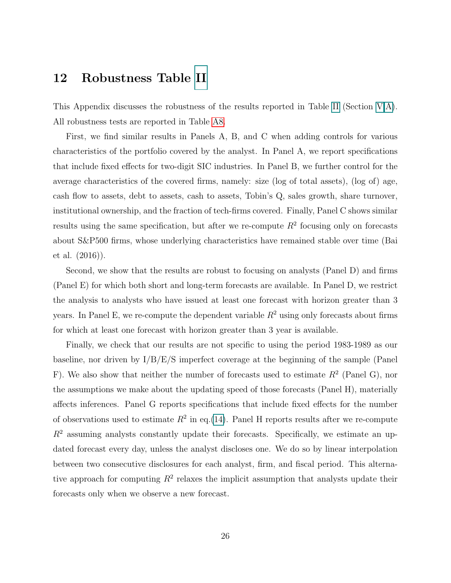### <span id="page-25-0"></span>12 Robustness Table [II](#page-23-0)

This Appendix discusses the robustness of the results reported in Table [II](#page-23-0) (Section [V](#page-7-1).A). All robustness tests are reported in Table [A8.](#page-26-0)

First, we find similar results in Panels A, B, and C when adding controls for various characteristics of the portfolio covered by the analyst. In Panel A, we report specifications that include fixed effects for two-digit SIC industries. In Panel B, we further control for the average characteristics of the covered firms, namely: size (log of total assets), (log of) age, cash flow to assets, debt to assets, cash to assets, Tobin's Q, sales growth, share turnover, institutional ownership, and the fraction of tech-firms covered. Finally, Panel C shows similar results using the same specification, but after we re-compute  $R^2$  focusing only on forecasts about S&P500 firms, whose underlying characteristics have remained stable over time (Bai et al. (2016)).

Second, we show that the results are robust to focusing on analysts (Panel D) and firms (Panel E) for which both short and long-term forecasts are available. In Panel D, we restrict the analysis to analysts who have issued at least one forecast with horizon greater than 3 years. In Panel E, we re-compute the dependent variable  $R^2$  using only forecasts about firms for which at least one forecast with horizon greater than 3 year is available.

Finally, we check that our results are not specific to using the period 1983-1989 as our baseline, nor driven by I/B/E/S imperfect coverage at the beginning of the sample (Panel F). We also show that neither the number of forecasts used to estimate  $R^2$  (Panel G), nor the assumptions we make about the updating speed of those forecasts (Panel H), materially affects inferences. Panel G reports specifications that include fixed effects for the number of observations used to estimate  $R^2$  in eq.(14). Panel H reports results after we re-compute  $R<sup>2</sup>$  assuming analysts constantly update their forecasts. Specifically, we estimate an updated forecast every day, unless the analyst discloses one. We do so by linear interpolation between two consecutive disclosures for each analyst, firm, and fiscal period. This alternative approach for computing  $R^2$  relaxes the implicit assumption that analysts update their forecasts only when we observe a new forecast.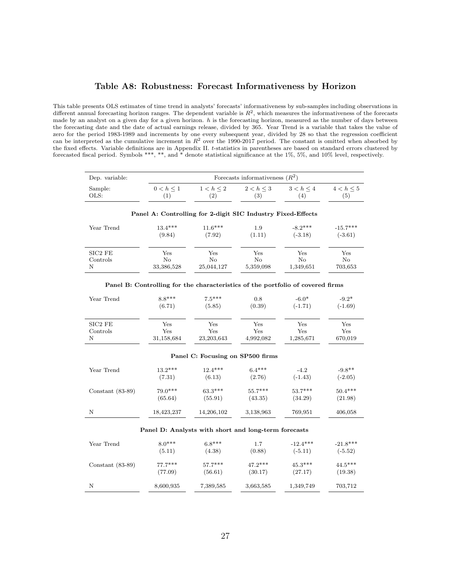#### Table A8: Robustness: Forecast Informativeness by Horizon

<span id="page-26-0"></span>This table presents OLS estimates of time trend in analysts' forecasts' informativeness by sub-samples including observations in different annual forecasting horizon ranges. The dependent variable is  $R^2$ , which measures the informativeness of the forecasts made by an analyst on a given day for a given horizon.  $h$  is the forecasting horizon, measured as the number of days between the forecasting date and the date of actual earnings release, divided by 365. Year Trend is a variable that takes the value of zero for the period 1983-1989 and increments by one every subsequent year, divided by 28 so that the regression coefficient can be interpreted as the cumulative increment in  $R<sup>2</sup>$  over the 1990-2017 period. The constant is omitted when absorbed by the fixed effects. Variable definitions are in Appendix II. t-statistics in parentheses are based on standard errors clustered by forecasted fiscal period. Symbols \*\*\*, \*\*, and \* denote statistical significance at the 1%, 5%, and 10% level, respectively.

| Dep. variable:  | Forecasts informativeness $(R^2)$ |                |                       |                     |                       |  |  |
|-----------------|-----------------------------------|----------------|-----------------------|---------------------|-----------------------|--|--|
| Sample:<br>OLS: | $0 < h \leq 1$                    | $1 < h \leq 2$ | $2 < h \leq 3$<br>(3) | $3 < h \leq 4$<br>4 | $4 < h \leq 5$<br>(5) |  |  |

| Year Trend | $13.4***$    | $11.6***$    | 1.9       | $-8.2***$ | $-15.7***$   |
|------------|--------------|--------------|-----------|-----------|--------------|
|            | (9.84)       | (7.92)       | (1.11)    | $(-3.18)$ | $(-3.61)$    |
| $SIC2$ FE  | $_{\rm Yes}$ | $_{\rm Yes}$ | Yes       | Yes       | $_{\rm Yes}$ |
| Controls   | No           | No           | No        | No        | No           |
| N          | 33,386,528   | 25,044,127   | 5,359,098 | 1,349,651 | 703,653      |

#### Panel A: Controlling for 2-digit SIC Industry Fixed-Effects

| Year Trend         | $8.8***$   | $7.5***$                         | 0.8       | $-6.0*$   | $-9.2*$   |
|--------------------|------------|----------------------------------|-----------|-----------|-----------|
|                    | (6.71)     | (5.85)                           | (0.39)    | $(-1.71)$ | $(-1.69)$ |
| $SIC2$ FE          | Yes        | Yes                              | Yes       | Yes       | Yes       |
| Controls           | Yes        | Yes                              | Yes       | Yes       | Yes       |
| N                  | 31,158,684 | 23, 203, 643                     | 4,992,082 | 1,285,671 | 670,019   |
|                    |            | Panel C: Focusing on SP500 firms |           |           |           |
| Year Trend         | $13.2***$  | $12.4***$                        | $6.4***$  | $-4.2$    | $-9.8**$  |
|                    | (7.31)     | (6.13)                           | (2.76)    | $(-1.43)$ | $(-2.05)$ |
| Constant $(83-89)$ | $79.0***$  | $63.3***$                        | $55.7***$ | $53.7***$ | $50.4***$ |
|                    | (65.64)    | (55.91)                          | (43.35)   | (34.29)   | (21.98)   |
| N                  | 18,423,237 | 14,206,102                       | 3,138,963 | 769,951   | 406,058   |

# Panel B: Controlling for the characteristics of the portfolio of covered firms

#### Panel D: Analysts with short and long-term forecasts

| Year Trend         | $8.0***$  | $6.8***$  | 1.7       | $-12.4***$ | $-21.8***$ |
|--------------------|-----------|-----------|-----------|------------|------------|
|                    | (5.11)    | (4.38)    | (0.88)    | $(-5.11)$  | $(-5.52)$  |
| Constant $(83-89)$ | $77.7***$ | $57.7***$ | $47.2***$ | $45.3***$  | $44.5***$  |
|                    | (77.09)   | (56.61)   | (30.17)   | (27.17)    | (19.38)    |
| N                  | 8,600,935 | 7,389,585 | 3,663,585 | 1,349,749  | 703,712    |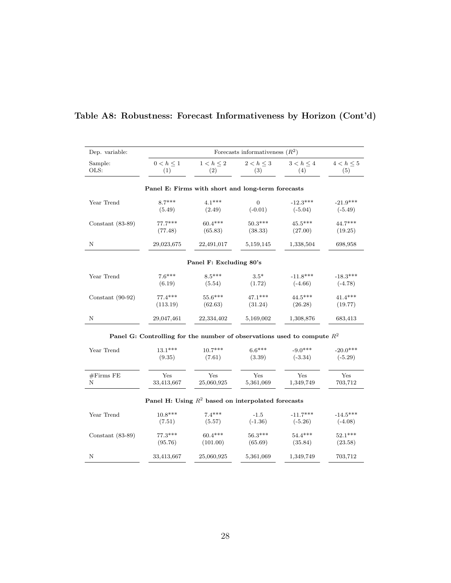| Dep. variable:     |                                                                           |                                                      | Forecasts informativeness $(R^2)$ |                |                |
|--------------------|---------------------------------------------------------------------------|------------------------------------------------------|-----------------------------------|----------------|----------------|
| Sample:            | $0 < h \leq 1$                                                            | $1 < h \leq 2$                                       | $2 < h \leq 3$                    | $3 < h \leq 4$ | $4 < h \leq 5$ |
| OLS:               | (1)                                                                       | (2)                                                  | (3)                               | (4)            | (5)            |
|                    |                                                                           | Panel E: Firms with short and long-term forecasts    |                                   |                |                |
| Year Trend         | $8.7***$                                                                  | $4.1***$                                             | $\overline{0}$                    | $-12.3***$     | $-21.9***$     |
|                    | (5.49)                                                                    | (2.49)                                               | $(-0.01)$                         | $(-5.04)$      | $(-5.49)$      |
| Constant $(83-89)$ | $77.7***$                                                                 | $60.4***$                                            | $50.3***$                         | $45.5***$      | $44.7***$      |
|                    | (77.48)                                                                   | (65.83)                                              | (38.33)                           | (27.00)        | (19.25)        |
| Ν                  | 29,023,675                                                                | 22,491,017                                           | 5,159,145                         | 1,338,504      | 698,958        |
|                    |                                                                           | Panel F: Excluding 80's                              |                                   |                |                |
| Year Trend         | $7.6***$                                                                  | $8.5***$                                             | $3.5*$                            | $-11.8***$     | $-18.3***$     |
|                    | (6.19)                                                                    | (5.54)                                               | (1.72)                            | $(-4.66)$      | $(-4.78)$      |
| Constant $(90-92)$ | $77.4***$                                                                 | 55.6***                                              | $47.1***$                         | 44.5***        | $41.4***$      |
|                    | (113.19)                                                                  | (62.63)                                              | (31.24)                           | (26.28)        | (19.77)        |
| N                  | 29,047,461                                                                | 22,334,402                                           | 5,169,002                         | 1,308,876      | 683,413        |
|                    | Panel G: Controlling for the number of observations used to compute $R^2$ |                                                      |                                   |                |                |
| Year Trend         | $13.1***$                                                                 | $10.7***$                                            | $6.6***$                          | $-9.0***$      | $-20.0***$     |
|                    | (9.35)                                                                    | (7.61)                                               | (3.39)                            | $(-3.34)$      | $(-5.29)$      |
| #Firms FE          | Yes                                                                       | Yes                                                  | Yes                               | Yes            | Yes            |
| Ν                  | 33,413,667                                                                | 25,060,925                                           | 5,361,069                         | 1,349,749      | 703,712        |
|                    |                                                                           | Panel H: Using $R^2$ based on interpolated forecasts |                                   |                |                |
| Year Trend         | $10.8***$                                                                 | $7.4***$                                             | $-1.5$                            | $-11.7***$     | $-14.5***$     |
|                    | (7.51)                                                                    | (5.57)                                               | $(-1.36)$                         | $(-5.26)$      | $(-4.08)$      |
| Constant $(83-89)$ | $77.3***$                                                                 | $60.4***$                                            | $56.3***$                         | $54.4***$      | $52.1***$      |
|                    | (95.76)                                                                   | (101.00)                                             | (65.69)                           | (35.84)        | (23.58)        |
| Ν                  | 33,413,667                                                                | 25,060,925                                           | 5,361,069                         | 1,349,749      | 703,712        |

## Table A8: Robustness: Forecast Informativeness by Horizon (Cont'd)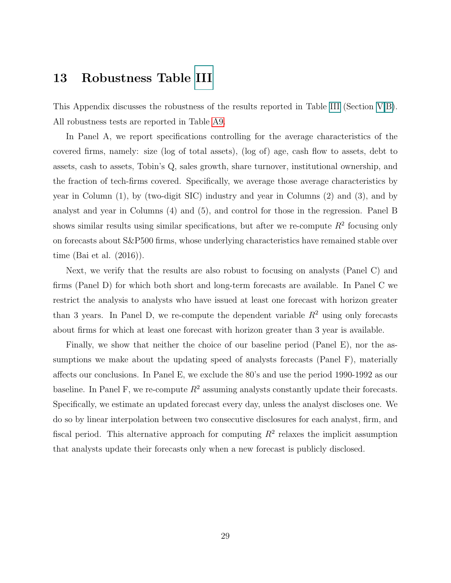### <span id="page-28-0"></span>13 Robustness Table [III](#page-24-0)

This Appendix discusses the robustness of the results reported in Table [III](#page-24-0) (Section [V.](#page-7-1)B). All robustness tests are reported in Table [A9.](#page-29-0)

In Panel A, we report specifications controlling for the average characteristics of the covered firms, namely: size (log of total assets), (log of) age, cash flow to assets, debt to assets, cash to assets, Tobin's Q, sales growth, share turnover, institutional ownership, and the fraction of tech-firms covered. Specifically, we average those average characteristics by year in Column (1), by (two-digit SIC) industry and year in Columns (2) and (3), and by analyst and year in Columns (4) and (5), and control for those in the regression. Panel B shows similar results using similar specifications, but after we re-compute  $R^2$  focusing only on forecasts about S&P500 firms, whose underlying characteristics have remained stable over time (Bai et al. (2016)).

Next, we verify that the results are also robust to focusing on analysts (Panel C) and firms (Panel D) for which both short and long-term forecasts are available. In Panel C we restrict the analysis to analysts who have issued at least one forecast with horizon greater than 3 years. In Panel D, we re-compute the dependent variable  $R<sup>2</sup>$  using only forecasts about firms for which at least one forecast with horizon greater than 3 year is available.

Finally, we show that neither the choice of our baseline period (Panel E), nor the assumptions we make about the updating speed of analysts forecasts (Panel F), materially affects our conclusions. In Panel E, we exclude the 80's and use the period 1990-1992 as our baseline. In Panel F, we re-compute  $R^2$  assuming analysts constantly update their forecasts. Specifically, we estimate an updated forecast every day, unless the analyst discloses one. We do so by linear interpolation between two consecutive disclosures for each analyst, firm, and fiscal period. This alternative approach for computing  $R<sup>2</sup>$  relaxes the implicit assumption that analysts update their forecasts only when a new forecast is publicly disclosed.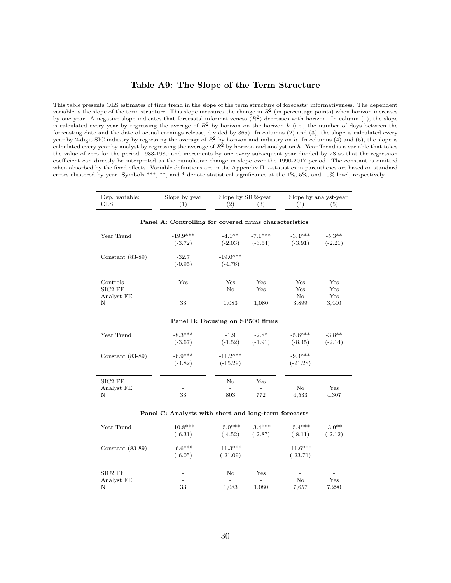#### Table A9: The Slope of the Term Structure

<span id="page-29-0"></span>This table presents OLS estimates of time trend in the slope of the term structure of forecasts' informativeness. The dependent variable is the slope of the term structure. This slope measures the change in  $R^2$  (in percentage points) when horizon increases by one year. A negative slope indicates that forecasts' informativeness  $(R^2)$  decreases with horizon. In column (1), the slope is calculated every year by regressing the average of  $R<sup>2</sup>$  by horizon on the horizon h (i.e., the number of days between the forecasting date and the date of actual earnings release, divided by 365). In columns (2) and (3), the slope is calculated every year by 2-digit SIC industry by regressing the average of  $R^2$  by horizon and industry on h. In columns (4) and (5), the slope is calculated every year by analyst by regressing the average of  $R^2$  by horizon and analyst on h. Year Trend is a variable that takes the value of zero for the period 1983-1989 and increments by one every subsequent year divided by 28 so that the regression coefficient can directly be interpreted as the cumulative change in slope over the 1990-2017 period. The constant is omitted when absorbed by the fixed effects. Variable definitions are in the Appendix II. t-statistics in parentheses are based on standard errors clustered by year. Symbols \*\*\*, \*\*, and \* denote statistical significance at the 1%, 5%, and 10% level, respectively.

| Dep. variable:<br>OLS:                 | Slope by year<br>(1)                                   | Slope by SIC2-year<br>(2)                            | (3)                                             | (4)                           | Slope by analyst-year<br>(5)   |
|----------------------------------------|--------------------------------------------------------|------------------------------------------------------|-------------------------------------------------|-------------------------------|--------------------------------|
|                                        | Panel A: Controlling for covered firms characteristics |                                                      |                                                 |                               |                                |
| Year Trend                             | $-19.9***$<br>$(-3.72)$                                | $-4.1$ **                                            | $-7.1***$<br>$(-2.03)$ $(-3.64)$                | $-3.4***$<br>$(-3.91)$        | $-5.3**$<br>$(-2.21)$          |
| Constant $(83-89)$                     | $-32.7$<br>$(-0.95)$                                   | $-19.0***$<br>$(-4.76)$                              |                                                 |                               |                                |
| Controls<br>SIC2 FE<br>Analyst FE<br>Ν | Yes<br>$\overline{a}$<br>$\overline{a}$<br>33          | Yes<br>$\rm No$<br>$\overline{\phantom{a}}$<br>1,083 | Yes<br>Yes<br>$\overline{\phantom{0}}$<br>1,080 | Yes<br>Yes<br>No<br>3,899     | Yes<br>Yes<br>Yes<br>3,440     |
|                                        | Panel B: Focusing on SP500 firms                       |                                                      |                                                 |                               |                                |
| Year Trend                             | $-8.3***$<br>$(-3.67)$                                 | $-1.9$<br>$(-1.52)$                                  | $-2.8*$<br>$(-1.91)$                            | $-5.6***$<br>$(-8.45)$        | $-3.8**$<br>$(-2.14)$          |
| Constant $(83-89)$                     | $-6.9***$<br>$(-4.82)$                                 | $-11.2***$<br>$(-15.29)$                             |                                                 | $-9.4***$<br>$(-21.28)$       |                                |
| $SIC2$ $FE$<br>Analyst FE<br>Ν         | 33                                                     | No<br>$\overline{a}$<br>803                          | Yes<br>$\overline{a}$<br>772                    | No<br>4,533                   | Yes<br>4,307                   |
|                                        | Panel C: Analysts with short and long-term forecasts   |                                                      |                                                 |                               |                                |
| Year Trend                             | $-10.8***$<br>$(-6.31)$                                | $-5.0***$                                            | $-3.4***$<br>$(-4.52)$ $(-2.87)$                | $-5.4***$<br>$(-8.11)$        | $-3.0**$<br>$(-2.12)$          |
| Constant $(83-89)$                     | $-6.6***$<br>$(-6.05)$                                 | $-11.3***$<br>$(-21.09)$                             |                                                 | $-11.6***$<br>$(-23.71)$      |                                |
| SIC2 FE<br>Analyst FE<br>Ν             | 33                                                     | No<br>1,083                                          | Yes<br>1,080                                    | $\overline{a}$<br>No<br>7,657 | $\overline{a}$<br>Yes<br>7,290 |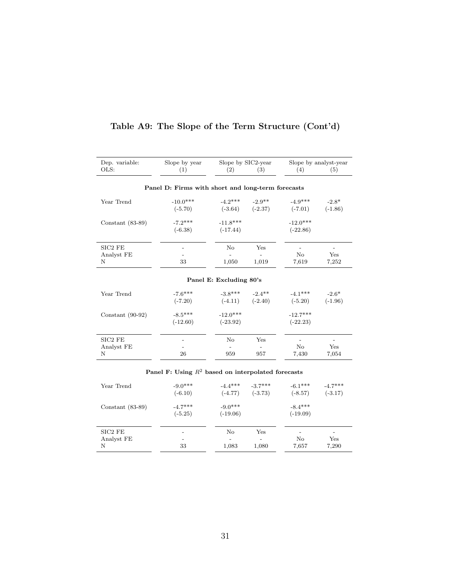| Dep. variable:     | Slope by year                                        | Slope by SIC2-year      |                          |                | Slope by analyst-year    |
|--------------------|------------------------------------------------------|-------------------------|--------------------------|----------------|--------------------------|
| OLS:               | (1)                                                  | (2)                     | (3)                      | (4)            | (5)                      |
|                    |                                                      |                         |                          |                |                          |
|                    | Panel D: Firms with short and long-term forecasts    |                         |                          |                |                          |
| Year Trend         | $-10.0***$                                           | $-4.2***$ $-2.9***$     |                          | $-4.9***$      | $-2.8*$                  |
|                    | $(-5.70)$                                            |                         | $(-3.64)$ $(-2.37)$      | $(-7.01)$      | $(-1.86)$                |
| Constant $(83-89)$ | $-7.2***$                                            | $-11.8***$              |                          | $-12.0***$     |                          |
|                    | $(-6.38)$                                            | $(-17.44)$              |                          | $(-22.86)$     |                          |
| SIC2 FE            |                                                      | No                      | Yes                      | $\overline{a}$ | $\overline{\phantom{0}}$ |
| Analyst FE         |                                                      | $\equiv$                | $\overline{\phantom{a}}$ | No             | Yes                      |
| Ν                  | 33                                                   | 1,050                   | 1,019                    | 7,619          | 7,252                    |
|                    |                                                      | Panel E: Excluding 80's |                          |                |                          |
| Year Trend         | $-7.6***$                                            |                         | $-3.8***$ $-2.4**$       | $-4.1***$      | $-2.6*$                  |
|                    | $(-7.20)$                                            |                         | $(-4.11)$ $(-2.40)$      | $(-5.20)$      | $(-1.96)$                |
| Constant $(90-92)$ | $-8.5***$                                            | $-12.0***$              |                          | $-12.7***$     |                          |
|                    | $(-12.60)$                                           | $(-23.92)$              |                          | $(-22.23)$     |                          |
| SIC2 FE            |                                                      | No                      | Yes                      | $\overline{a}$ |                          |
| Analyst FE         |                                                      | $\equiv$                | $\sim$                   | No             | Yes                      |
| N                  | 26                                                   | 959                     | 957                      | 7,430          | 7,054                    |
|                    | Panel F: Using $R^2$ based on interpolated forecasts |                         |                          |                |                          |
| Year Trend         | $-9.0***$                                            |                         | $-4.4***$ $-3.7***$      | $-6.1***$      | $-4.7***$                |
|                    | $(-6.10)$                                            |                         | $(-4.77)$ $(-3.73)$      | $(-8.57)$      | $(-3.17)$                |
| Constant $(83-89)$ | $-4.7***$                                            | $-9.0***$               |                          | $-8.4***$      |                          |
|                    | $(-5.25)$                                            | $(-19.06)$              |                          | $(-19.09)$     |                          |

### <span id="page-30-0"></span>Table A9: The Slope of the Term Structure (Cont'd)

SIC2 FE - No Yes - -Analyst FE - - - - - - - No Yes N 33 1,083 1,080 7,657 7,290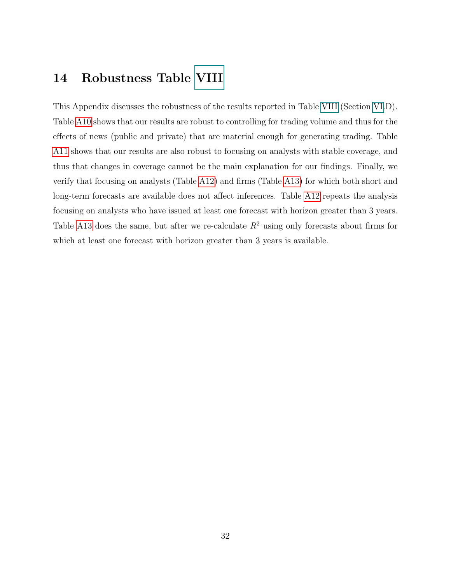### <span id="page-31-0"></span>14 Robustness Table [VIII](#page-32-0)

This Appendix discusses the robustness of the results reported in Table [VIII](#page-32-0) (Section [VI.](#page-8-0)D). Table [A10](#page-32-0) shows that our results are robust to controlling for trading volume and thus for the effects of news (public and private) that are material enough for generating trading. Table [A11](#page-33-0) shows that our results are also robust to focusing on analysts with stable coverage, and thus that changes in coverage cannot be the main explanation for our findings. Finally, we verify that focusing on analysts (Table [A12\)](#page-34-0) and firms (Table [A13\)](#page-35-0) for which both short and long-term forecasts are available does not affect inferences. Table [A12](#page-34-0) repeats the analysis focusing on analysts who have issued at least one forecast with horizon greater than 3 years. Table [A13](#page-35-0) does the same, but after we re-calculate  $R^2$  using only forecasts about firms for which at least one forecast with horizon greater than 3 years is available.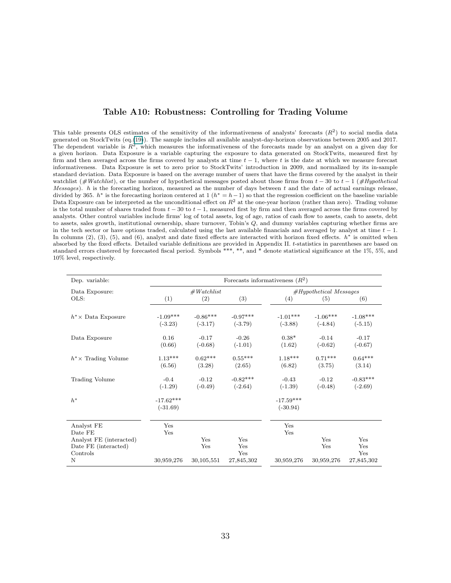#### Table A10: Robustness: Controlling for Trading Volume

<span id="page-32-0"></span>This table presents OLS estimates of the sensitivity of the informativeness of analysts' forecasts  $(R^2)$  to social media data generated on StockTwits (eq.(19)). The sample includes all available analyst-day-horizon observations between 2005 and 2017. The dependent variable is  $R^2$ , which measures the informativeness of the forecasts made by an analyst on a given day for a given horizon. Data Exposure is a variable capturing the exposure to data generated on StockTwits, measured first by firm and then averaged across the firms covered by analysts at time  $t - 1$ , where t is the date at which we measure forecast informativeness. Data Exposure is set to zero prior to StockTwits' introduction in 2009, and normalized by its in-sample standard deviation. Data Exposure is based on the average number of users that have the firms covered by the analyst in their watchlist (#Watchlist), or the number of hypothetical messages posted about those firms from  $t - 30$  to  $t - 1$  (#Hypothetical Messages). h is the forecasting horizon, measured as the number of days between t and the date of actual earnings release, divided by 365.  $h^*$  is the forecasting horizon centered at 1  $(h^* = h - 1)$  so that the regression coefficient on the baseline variable Data Exposure can be interpreted as the unconditional effect on  $R^2$  at the one-year horizon (rather than zero). Trading volume is the total number of shares traded from  $t - 30$  to  $t - 1$ , measured first by firm and then averaged across the firms covered by analysts. Other control variables include firms' log of total assets, log of age, ratios of cash flow to assets, cash to assets, debt to assets, sales growth, institutional ownership, share turnover, Tobin's Q, and dummy variables capturing whether firms are in the tech sector or have options traded, calculated using the last available financials and averaged by analyst at time  $t - 1$ . In columns  $(2)$ ,  $(3)$ ,  $(5)$ , and  $(6)$ , analyst and date fixed effects are interacted with horizon fixed effects.  $h^*$  is omitted when absorbed by the fixed effects. Detailed variable definitions are provided in Appendix II. t-statistics in parentheses are based on standard errors clustered by forecasted fiscal period. Symbols \*\*\*, \*\*, and \* denote statistical significance at the 1%, 5%, and 10% level, respectively.

| Dep. variable:                                  |                           | Forecasts informativeness $(R^2)$ |                         |                           |                          |                         |  |  |
|-------------------------------------------------|---------------------------|-----------------------------------|-------------------------|---------------------------|--------------------------|-------------------------|--|--|
| Data Exposure:                                  |                           | #Watchlist                        |                         |                           | $#Hypothetical$ Messages |                         |  |  |
| OLS:                                            | (1)                       | (2)                               | (3)                     | (4)                       | (5)                      | (6)                     |  |  |
| $h^* \times$ Data Exposure                      | $-1.09***$<br>$(-3.23)$   | $-0.86***$<br>$(-3.17)$           | $-0.97***$<br>$(-3.79)$ | $-1.01***$<br>$(-3.88)$   | $-1.06***$<br>$(-4.84)$  | $-1.08***$<br>$(-5.15)$ |  |  |
| Data Exposure                                   | 0.16<br>(0.66)            | $-0.17$<br>$(-0.68)$              | $-0.26$<br>$(-1.01)$    | $0.38*$<br>(1.62)         | $-0.14$<br>$(-0.62)$     | $-0.17$<br>$(-0.67)$    |  |  |
| $h^* \times$ Trading Volume                     | $1.13***$<br>(6.56)       | $0.62***$<br>(3.28)               | $0.55***$<br>(2.65)     | $1.18***$<br>(6.82)       | $0.71***$<br>(3.75)      | $0.64***$<br>(3.14)     |  |  |
| <b>Trading Volume</b>                           | $-0.4$<br>$(-1.29)$       | $-0.12$<br>$(-0.49)$              | $-0.82***$<br>$(-2.64)$ | $-0.43$<br>$(-1.39)$      | $-0.12$<br>$(-0.48)$     | $-0.83***$<br>$(-2.69)$ |  |  |
| $h^*$                                           | $-17.62***$<br>$(-31.69)$ |                                   |                         | $-17.59***$<br>$(-30.94)$ |                          |                         |  |  |
| Analyst FE<br>Date FE                           | Yes<br>Yes                |                                   |                         | Yes<br>Yes                |                          |                         |  |  |
| Analyst FE (interacted)<br>Date FE (interacted) |                           | Yes<br>Yes                        | Yes<br>Yes              |                           | Yes<br>Yes               | Yes<br>Yes              |  |  |
| Controls<br>N                                   | 30,959,276                | 30,105,551                        | Yes<br>27,845,302       | 30,959,276                | 30,959,276               | Yes<br>27,845,302       |  |  |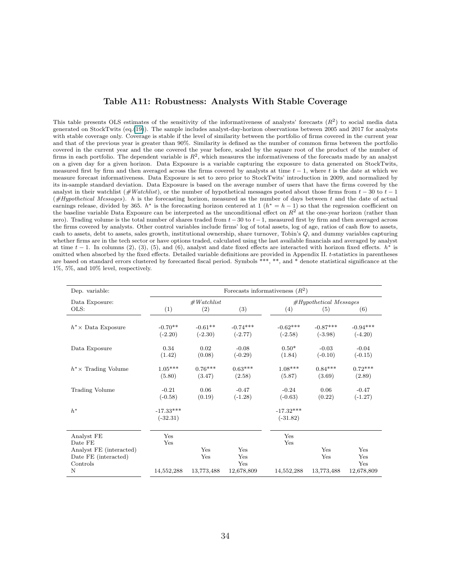#### Table A11: Robustness: Analysts With Stable Coverage

<span id="page-33-0"></span>This table presents OLS estimates of the sensitivity of the informativeness of analysts' forecasts  $(R^2)$  to social media data generated on StockTwits (eq.(19)). The sample includes analyst-day-horizon observations between 2005 and 2017 for analysts with stable coverage only. Coverage is stable if the level of similarity between the portfolio of firms covered in the current year and that of the previous year is greater than 90%. Similarity is defined as the number of common firms between the portfolio covered in the current year and the one covered the year before, scaled by the square root of the product of the number of firms in each portfolio. The dependent variable is  $R^2$ , which measures the informativeness of the forecasts made by an analyst on a given day for a given horizon. Data Exposure is a variable capturing the exposure to data generated on StockTwits, measured first by firm and then averaged across the firms covered by analysts at time  $t - 1$ , where t is the date at which we measure forecast informativeness. Data Exposure is set to zero prior to StockTwits' introduction in 2009, and normalized by its in-sample standard deviation. Data Exposure is based on the average number of users that have the firms covered by the analyst in their watchlist (#Watchlist), or the number of hypothetical messages posted about those firms from  $t - 30$  to  $t - 1$  $(\#Hypothetical Messages)$ . h is the forecasting horizon, measured as the number of days between t and the date of actual earnings release, divided by 365.  $h^*$  is the forecasting horizon centered at 1  $(h^* = h - 1)$  so that the regression coefficient on the baseline variable Data Exposure can be interpreted as the unconditional effect on  $R^2$  at the one-year horizon (rather than zero). Trading volume is the total number of shares traded from  $t - 30$  to  $t - 1$ , measured first by firm and then averaged across the firms covered by analysts. Other control variables include firms' log of total assets, log of age, ratios of cash flow to assets, cash to assets, debt to assets, sales growth, institutional ownership, share turnover, Tobin's Q, and dummy variables capturing whether firms are in the tech sector or have options traded, calculated using the last available financials and averaged by analyst at time  $t - 1$ . In columns (2), (3), (5), and (6), analyst and date fixed effects are interacted with horizon fixed effects.  $h^*$  is omitted when absorbed by the fixed effects. Detailed variable definitions are provided in Appendix II. t-statistics in parentheses are based on standard errors clustered by forecasted fiscal period. Symbols \*\*\*, \*\*, and \* denote statistical significance at the 1%, 5%, and 10% level, respectively.

| Dep. variable:                                                                            | Forecasts informativeness $(R2)$ |                          |                                 |                           |                                                                                                                                                                                                                                                                         |            |  |
|-------------------------------------------------------------------------------------------|----------------------------------|--------------------------|---------------------------------|---------------------------|-------------------------------------------------------------------------------------------------------------------------------------------------------------------------------------------------------------------------------------------------------------------------|------------|--|
| Data Exposure:                                                                            |                                  | #Watchlist               |                                 |                           | $#Hypothetical$ Messages<br>(5)<br>(6)<br>$-0.87***$<br>$-0.94***$<br>$(-3.98)$<br>$(-4.20)$<br>$-0.03$<br>$-0.04$<br>$(-0.10)$<br>$(-0.15)$<br>$0.84***$<br>$0.72***$<br>(3.69)<br>(2.89)<br>0.06<br>$-0.47$<br>(0.22)<br>$(-1.27)$<br>Yes<br>Yes<br>Yes<br>Yes<br>Yes |            |  |
| OLS:                                                                                      | (1)                              | (2)                      | (3)                             | (4)                       |                                                                                                                                                                                                                                                                         |            |  |
| $h^* \times$ Data Exposure                                                                | $-0.70**$<br>$(-2.20)$           | $-0.61**$<br>$(-2.30)$   | $-0.74***$<br>$(-2.77)$         | $-0.62***$<br>$(-2.58)$   |                                                                                                                                                                                                                                                                         |            |  |
| Data Exposure                                                                             | 0.34<br>(1.42)                   | 0.02<br>(0.08)           | $-0.08$<br>$(-0.29)$            | $0.50*$<br>(1.84)         |                                                                                                                                                                                                                                                                         |            |  |
| $h^* \times$ Trading Volume                                                               | $1.05***$<br>(5.80)              | $0.76***$<br>(3.47)      | $0.63***$<br>(2.58)             | $1.08***$<br>(5.87)       |                                                                                                                                                                                                                                                                         |            |  |
| Trading Volume                                                                            | $-0.21$<br>$(-0.58)$             | 0.06<br>(0.19)           | $-0.47$<br>$(-1.28)$            | $-0.24$<br>$(-0.63)$      |                                                                                                                                                                                                                                                                         |            |  |
| $h^*$                                                                                     | $-17.33***$<br>$(-32.31)$        |                          |                                 | $-17.32***$<br>$(-31.82)$ |                                                                                                                                                                                                                                                                         |            |  |
| Analyst FE<br>Date FE<br>Analyst FE (interacted)<br>Date FE (interacted)<br>Controls<br>N | Yes<br>Yes<br>14,552,288         | Yes<br>Yes<br>13,773,488 | Yes<br>Yes<br>Yes<br>12,678,809 | Yes<br>Yes<br>14,552,288  | 13,773,488                                                                                                                                                                                                                                                              | 12,678,809 |  |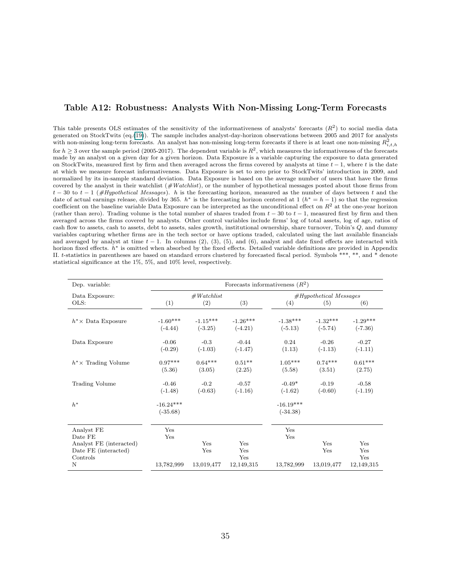#### <span id="page-34-0"></span>Table A12: Robustness: Analysts With Non-Missing Long-Term Forecasts

This table presents OLS estimates of the sensitivity of the informativeness of analysts' forecasts  $(R^2)$  to social media data generated on StockTwits (eq.(19)). The sample includes analyst-day-horizon observations between 2005 and 2017 for analysts with non-missing long-term forecasts. An analyst has non-missing long-term forecasts if there is at least one non-missing  $R^2_{i,t,h}$ for  $h \geq 3$  over the sample period (2005-2017). The dependent variable is  $R^2$ , which measures the informativeness of the forecasts made by an analyst on a given day for a given horizon. Data Exposure is a variable capturing the exposure to data generated on StockTwits, measured first by firm and then averaged across the firms covered by analysts at time  $t - 1$ , where t is the date at which we measure forecast informativeness. Data Exposure is set to zero prior to StockTwits' introduction in 2009, and normalized by its in-sample standard deviation. Data Exposure is based on the average number of users that have the firms covered by the analyst in their watchlist  $(\#Watchlist)$ , or the number of hypothetical messages posted about those firms from  $t-30$  to  $t-1$  (#Hypothetical Messages). h is the forecasting horizon, measured as the number of days between t and the date of actual earnings release, divided by 365. h<sup>\*</sup> is the forecasting horizon centered at 1 ( $h^* = h - 1$ ) so that the regression coefficient on the baseline variable Data Exposure can be interpreted as the unconditional effect on  $R<sup>2</sup>$  at the one-year horizon (rather than zero). Trading volume is the total number of shares traded from  $t - 30$  to  $t - 1$ , measured first by firm and then averaged across the firms covered by analysts. Other control variables include firms' log of total assets, log of age, ratios of cash flow to assets, cash to assets, debt to assets, sales growth, institutional ownership, share turnover, Tobin's Q, and dummy variables capturing whether firms are in the tech sector or have options traded, calculated using the last available financials and averaged by analyst at time  $t - 1$ . In columns (2), (3), (5), and (6), analyst and date fixed effects are interacted with horizon fixed effects.  $h^*$  is omitted when absorbed by the fixed effects. Detailed variable definitions are provided in Appendix II. t-statistics in parentheses are based on standard errors clustered by forecasted fiscal period. Symbols \*\*\*, \*\*, and \* denote statistical significance at the 1%, 5%, and 10% level, respectively.

| Dep. variable:                                              |                           | Forecasts informativeness $(R^2)$ |                         |                           |                         |                         |  |  |
|-------------------------------------------------------------|---------------------------|-----------------------------------|-------------------------|---------------------------|-------------------------|-------------------------|--|--|
| Data Exposure:                                              |                           | #Watchlist                        |                         | $#Hypothetical$ Messages  |                         |                         |  |  |
| OLS:                                                        | (1)                       | (2)                               | (3)                     | (4)                       | (5)                     | (6)                     |  |  |
| $h^* \times$ Data Exposure                                  | $-1.60***$<br>$(-4.44)$   | $-1.15***$<br>$(-3.25)$           | $-1.26***$<br>$(-4.21)$ | $-1.38***$<br>$(-5.13)$   | $-1.32***$<br>$(-5.74)$ | $-1.29***$<br>$(-7.36)$ |  |  |
| Data Exposure                                               | $-0.06$<br>$(-0.29)$      | $-0.3$<br>$(-1.03)$               | $-0.44$<br>$(-1.47)$    | 0.24<br>(1.13)            | $-0.26$<br>$(-1.13)$    | $-0.27$<br>$(-1.11)$    |  |  |
| $h^* \times$ Trading Volume                                 | $0.97***$<br>(5.36)       | $0.64***$<br>(3.05)               | $0.51**$<br>(2.25)      | $1.05***$<br>(5.58)       | $0.74***$<br>(3.51)     | $0.61***$<br>(2.75)     |  |  |
| Trading Volume                                              | $-0.46$<br>$(-1.48)$      | $-0.2$<br>$(-0.63)$               | $-0.57$<br>$(-1.16)$    | $-0.49*$<br>$(-1.62)$     | $-0.19$<br>$(-0.60)$    | $-0.58$<br>$(-1.19)$    |  |  |
| $h^*$                                                       | $-16.24***$<br>$(-35.68)$ |                                   |                         | $-16.19***$<br>$(-34.38)$ |                         |                         |  |  |
| Analyst FE<br>Date FE                                       | Yes<br>Yes                |                                   |                         | Yes<br>Yes                |                         |                         |  |  |
| Analyst FE (interacted)<br>Date FE (interacted)<br>Controls |                           | Yes<br>Yes                        | Yes<br>Yes<br>Yes       |                           | Yes<br>Yes              | Yes<br>Yes<br>Yes       |  |  |
| N                                                           | 13,782,999                | 13,019,477                        | 12,149,315              | 13,782,999                | 13,019,477              | 12,149,315              |  |  |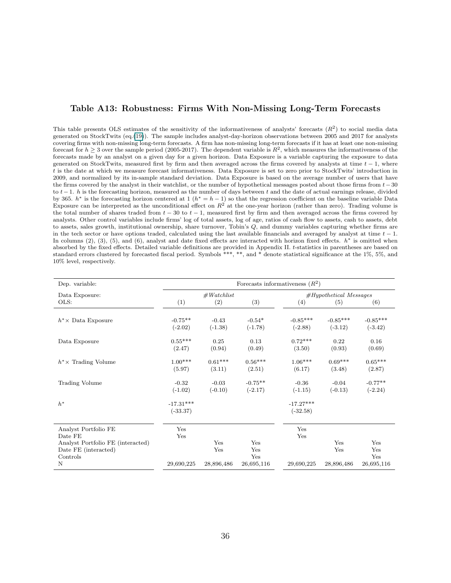#### <span id="page-35-0"></span>Table A13: Robustness: Firms With Non-Missing Long-Term Forecasts

This table presents OLS estimates of the sensitivity of the informativeness of analysts' forecasts  $(R^2)$  to social media data generated on StockTwits (eq.(19)). The sample includes analyst-day-horizon observations between 2005 and 2017 for analysts covering firms with non-missing long-term forecasts. A firm has non-missing long-term forecasts if it has at least one non-missing forecast for  $h \geq 3$  over the sample period (2005-2017). The dependent variable is  $R^2$ , which measures the informativeness of the forecasts made by an analyst on a given day for a given horizon. Data Exposure is a variable capturing the exposure to data generated on StockTwits, measured first by firm and then averaged across the firms covered by analysts at time  $t - 1$ , where t is the date at which we measure forecast informativeness. Data Exposure is set to zero prior to StockTwits' introduction in 2009, and normalized by its in-sample standard deviation. Data Exposure is based on the average number of users that have the firms covered by the analyst in their watchlist, or the number of hypothetical messages posted about those firms from  $t-30$ to  $t-1$ . h is the forecasting horizon, measured as the number of days between t and the date of actual earnings release, divided by 365.  $h^*$  is the forecasting horizon centered at 1  $(h^* = h - 1)$  so that the regression coefficient on the baseline variable Data Exposure can be interpreted as the unconditional effect on  $R^2$  at the one-year horizon (rather than zero). Trading volume is the total number of shares traded from  $t - 30$  to  $t - 1$ , measured first by firm and then averaged across the firms covered by analysts. Other control variables include firms' log of total assets, log of age, ratios of cash flow to assets, cash to assets, debt to assets, sales growth, institutional ownership, share turnover, Tobin's Q, and dummy variables capturing whether firms are in the tech sector or have options traded, calculated using the last available financials and averaged by analyst at time  $t - 1$ . In columns  $(2)$ ,  $(3)$ ,  $(5)$ , and  $(6)$ , analyst and date fixed effects are interacted with horizon fixed effects.  $h^*$  is omitted when absorbed by the fixed effects. Detailed variable definitions are provided in Appendix II. t-statistics in parentheses are based on standard errors clustered by forecasted fiscal period. Symbols \*\*\*, \*\*, and \* denote statistical significance at the 1%, 5%, and 10% level, respectively.

| Dep. variable.                                                                               | Forecasts informativeness $(R^2)$ |                      |                        |                           |                          |                         |  |  |
|----------------------------------------------------------------------------------------------|-----------------------------------|----------------------|------------------------|---------------------------|--------------------------|-------------------------|--|--|
| Data Exposure:                                                                               |                                   | #Watchlist           |                        |                           | $#Hypothetical$ Messages |                         |  |  |
| OLS:                                                                                         | (1)                               | (2)                  | (3)                    | (4)                       | (5)                      | (6)                     |  |  |
| $h^* \times$ Data Exposure                                                                   | $-0.75**$<br>$(-2.02)$            | $-0.43$<br>$(-1.38)$ | $-0.54*$<br>$(-1.78)$  | $-0.85***$<br>$(-2.88)$   | $-0.85***$<br>$(-3.12)$  | $-0.85***$<br>$(-3.42)$ |  |  |
| Data Exposure                                                                                | $0.55***$<br>(2.47)               | 0.25<br>(0.94)       | 0.13<br>(0.49)         | $0.72***$<br>(3.50)       | 0.22<br>(0.93)           | 0.16<br>(0.69)          |  |  |
| $h^* \times$ Trading Volume                                                                  | $1.00***$<br>(5.97)               | $0.61***$<br>(3.11)  | $0.56***$<br>(2.51)    | $1.06***$<br>(6.17)       | $0.69***$<br>(3.48)      | $0.65***$<br>(2.87)     |  |  |
| Trading Volume                                                                               | $-0.32$<br>$(-1.02)$              | $-0.03$<br>$(-0.10)$ | $-0.75**$<br>$(-2.17)$ | $-0.36$<br>$(-1.15)$      | $-0.04$<br>$(-0.13)$     | $-0.77**$<br>$(-2.24)$  |  |  |
| $h^*$                                                                                        | $-17.31***$<br>$(-33.37)$         |                      |                        | $-17.27***$<br>$(-32.58)$ |                          |                         |  |  |
| Analyst Portfolio FE<br>Date FE<br>Analyst Portfolio FE (interacted)<br>Date FE (interacted) | Yes<br>Yes                        | Yes<br>Yes           | Yes<br>Yes             | Yes<br>Yes                | Yes<br>Yes               | Yes<br>Yes              |  |  |
| Controls<br>N                                                                                | 29,690,225                        | 28,896,486           | Yes<br>26,695,116      | 29,690,225                | 28,896,486               | Yes<br>26,695,116       |  |  |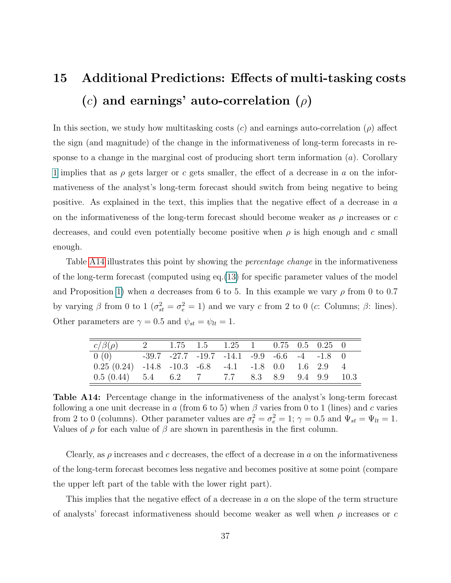# <span id="page-36-0"></span>15 Additional Predictions: Effects of multi-tasking costs (c) and earnings' auto-correlation  $(\rho)$

In this section, we study how multitasking costs (c) and earnings auto-correlation ( $\rho$ ) affect the sign (and magnitude) of the change in the informativeness of long-term forecasts in response to a change in the marginal cost of producing short term information  $(a)$ . Corollary 1 implies that as  $\rho$  gets larger or c gets smaller, the effect of a decrease in a on the informativeness of the analyst's long-term forecast should switch from being negative to being positive. As explained in the text, this implies that the negative effect of a decrease in a on the informativeness of the long-term forecast should become weaker as  $\rho$  increases or c decreases, and could even potentially become positive when  $\rho$  is high enough and c small enough.

Table [A14](#page-36-1) illustrates this point by showing the *percentage change* in the informativeness of the long-term forecast (computed using eq.(13) for specific parameter values of the model and Proposition 1) when a decreases from 6 to 5. In this example we vary  $\rho$  from 0 to 0.7 by varying  $\beta$  from 0 to 1 ( $\sigma_{st}^2 = \sigma_e^2 = 1$ ) and we vary c from 2 to 0 (c: Columns;  $\beta$ : lines). Other parameters are  $\gamma = 0.5$  and  $\psi_{st} = \psi_{lt} = 1$ .

<span id="page-36-1"></span>

| $c/\beta(\rho)$                                                       | 2 1.75 1.5 1.25 1 0.75 0.5 0.25 0 |  |  |  |  |
|-----------------------------------------------------------------------|-----------------------------------|--|--|--|--|
| $0(0)$ -39.7 -27.7 -19.7 -14.1 -9.9 -6.6 -4 -1.8 0                    |                                   |  |  |  |  |
| $0.25(0.24)$ $-14.8$ $-10.3$ $-6.8$ $-4.1$ $-1.8$ $0.0$ $1.6$ $2.9$ 4 |                                   |  |  |  |  |
| $0.5(0.44)$ $5.4$ $6.2$ $7$ $7.7$ $8.3$ $8.9$ $9.4$ $9.9$ $10.3$      |                                   |  |  |  |  |

Table A14: Percentage change in the informativeness of the analyst's long-term forecast following a one unit decrease in a (from 6 to 5) when  $\beta$  varies from 0 to 1 (lines) and c varies from 2 to 0 (columns). Other parameter values are  $\sigma_t^2 = \sigma_e^2 = 1$ ;  $\gamma = 0.5$  and  $\Psi_{st} = \Psi_{lt} = 1$ . Values of  $\rho$  for each value of  $\beta$  are shown in parenthesis in the first column.

Clearly, as  $\rho$  increases and c decreases, the effect of a decrease in a on the informativeness of the long-term forecast becomes less negative and becomes positive at some point (compare the upper left part of the table with the lower right part).

This implies that the negative effect of a decrease in a on the slope of the term structure of analysts' forecast informativeness should become weaker as well when  $\rho$  increases or c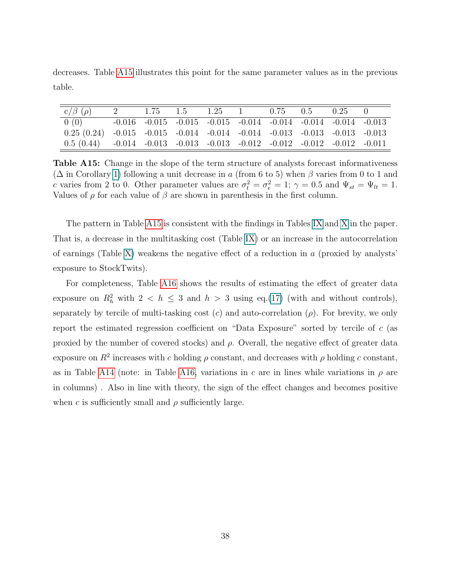decreases. Table [A15](#page-37-0) illustrates this point for the same parameter values as in the previous table.

<span id="page-37-0"></span>

| $c/\beta$ ( <i>ρ</i> )                                                                        | 2 | $1.75 \t 1.5 \t 1.25 \t 1 \t 0.75 \t 0.5$                                        |  |  | $0.25 \qquad 0$ |  |
|-----------------------------------------------------------------------------------------------|---|----------------------------------------------------------------------------------|--|--|-----------------|--|
| 0(0)                                                                                          |   | $-0.016$ $-0.015$ $-0.015$ $-0.015$ $-0.014$ $-0.014$ $-0.014$ $-0.014$ $-0.013$ |  |  |                 |  |
| $0.25(0.24)$ $-0.015$ $-0.015$ $-0.014$ $-0.014$ $-0.014$ $-0.013$ $-0.013$ $-0.013$ $-0.013$ |   |                                                                                  |  |  |                 |  |
| $0.5(0.44)$ $-0.014$ $-0.013$ $-0.013$ $-0.013$ $-0.012$ $-0.012$ $-0.012$ $-0.012$ $-0.011$  |   |                                                                                  |  |  |                 |  |

Table A15: Change in the slope of the term structure of analysts forecast informativeness  $(\Delta$  in Corollary 1) following a unit decrease in a (from 6 to 5) when  $\beta$  varies from 0 to 1 and c varies from 2 to 0. Other parameter values are  $\sigma_t^2 = \sigma_e^2 = 1$ ;  $\gamma = 0.5$  and  $\Psi_{st} = \Psi_{lt} = 1$ . Values of  $\rho$  for each value of  $\beta$  are shown in parenthesis in the first column.

The pattern in Table [A15](#page-37-0) is consistent with the findings in Tables [IX](#page-33-0) and [X](#page-34-0) in the paper. That is, a decrease in the multitasking cost (Table [IX\)](#page-33-0) or an increase in the autocorrelation of earnings (Table [X\)](#page-34-0) weakens the negative effect of a reduction in  $\alpha$  (proxied by analysts' exposure to StockTwits).

For completeness, Table [A16](#page-38-0) shows the results of estimating the effect of greater data exposure on  $R_h^2$  with  $2 < h \leq 3$  and  $h > 3$  using eq.(17) (with and without controls), separately by tercile of multi-tasking cost  $(c)$  and auto-correlation  $(\rho)$ . For brevity, we only report the estimated regression coefficient on "Data Exposure" sorted by tercile of c (as proxied by the number of covered stocks) and  $\rho$ . Overall, the negative effect of greater data exposure on  $R^2$  increases with c holding  $\rho$  constant, and decreases with  $\rho$  holding c constant, as in Table [A14](#page-36-1) (note: in Table [A16,](#page-38-0) variations in c are in lines while variations in  $\rho$  are in columns) . Also in line with theory, the sign of the effect changes and becomes positive when c is sufficiently small and  $\rho$  sufficiently large.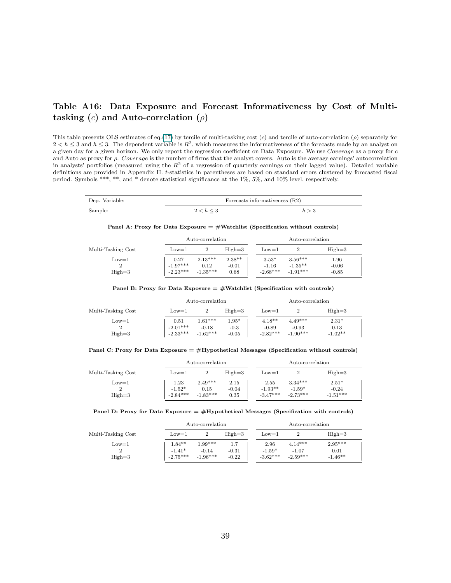#### <span id="page-38-0"></span>Table A16: Data Exposure and Forecast Informativeness by Cost of Multitasking (c) and Auto-correlation ( $\rho$ )

This table presents OLS estimates of eq.(17) by tercile of multi-tasking cost  $(c)$  and tercile of auto-correlation  $(\rho)$  separately for  $2 < h \leq 3$  and  $h \leq 3$ . The dependent variable is  $R^2$ , which measures the informativeness of the forecasts made by an analyst on a given day for a given horizon. We only report the regression coefficient on Data Exposure. We use Coverage as a proxy for c and Auto as proxy for  $\rho$ . Coverage is the number of firms that the analyst covers. Auto is the average earnings' autocorrelation in analysts' portfolios (measured using the  $R^2$  of a regression of quarterly earnings on their lagged value). Detailed variable definitions are provided in Appendix II. t-statistics in parentheses are based on standard errors clustered by forecasted fiscal period. Symbols \*\*\*, \*\*, and \* denote statistical significance at the 1%, 5%, and 10% level, respectively.

| Dep. Variable: |                | Forecasts informativeness $(R2)$ |  |  |  |  |
|----------------|----------------|----------------------------------|--|--|--|--|
| Sample:        | $2 < h \leq 3$ |                                  |  |  |  |  |

Panel A: Proxy for Data Exposure = #Watchlist (Specification without controls)

|                          |                                  |                                 | Auto-correlation<br>Auto-correlation |  |                                  |                                      |                                |
|--------------------------|----------------------------------|---------------------------------|--------------------------------------|--|----------------------------------|--------------------------------------|--------------------------------|
| Multi-Tasking Cost       | $_{\text{Low}=1}$                |                                 | $Hi$ gh $=$ 3                        |  | $Low=1$                          |                                      | $High=3$                       |
| $Low=1$<br>2<br>$High=3$ | 0.27<br>$-1.97***$<br>$-2.23***$ | $2.13***$<br>0.12<br>$-1.35***$ | $2.38**$<br>$-0.01$<br>0.68          |  | $3.53*$<br>$-1.16$<br>$-2.68***$ | $3.56***$<br>$-1.35**$<br>$-1.91***$ | $1.96\,$<br>$-0.06$<br>$-0.85$ |

Panel B: Proxy for Data Exposure  $=$  #Watchlist (Specification with controls)

|                               |                                  | Auto-correlation                   |                              |  |                                   | Auto-correlation                   |                              |  |  |  |
|-------------------------------|----------------------------------|------------------------------------|------------------------------|--|-----------------------------------|------------------------------------|------------------------------|--|--|--|
| Multi-Tasking Cost            | $_{\text{Low}=1}$                |                                    | $High=3$                     |  | $_{\text{Low}=1}$                 |                                    | $High=3$                     |  |  |  |
| $_{\text{Low}=1}$<br>$High=3$ | 0.51<br>$-2.01***$<br>$-2.33***$ | $1.61***$<br>$-0.18$<br>$-1.62***$ | $1.95*$<br>$-0.3$<br>$-0.05$ |  | $4.18**$<br>$-0.89$<br>$-2.82***$ | $4.49***$<br>$-0.93$<br>$-1.90***$ | $2.31*$<br>0.13<br>$-1.02**$ |  |  |  |

|  |  | Panel C: Proxy for Data Exposure $=$ #Hypothetical Messages (Specification without controls) |  |  |  |
|--|--|----------------------------------------------------------------------------------------------|--|--|--|
|  |  |                                                                                              |  |  |  |

|                    |                   | Auto-correlation |            | Auto-correlation |                   |            |            |
|--------------------|-------------------|------------------|------------|------------------|-------------------|------------|------------|
| Multi-Tasking Cost | $_{\text{Low}=1}$ |                  | $High = 3$ |                  | $_{\text{Low}=1}$ |            | $High=3$   |
| $_{\text{Low}=1}$  | 1.23              | $2.49***$        | 2.15       |                  | 2.55              | $3.34***$  | $2.51*$    |
|                    | $-1.52*$          | 0.15             | $-0.04$    |                  | $-1.93**$         | $-1.59*$   | $-0.24$    |
| $High=3$           | $-2.84***$        | $-1.83***$       | 0.35       |                  | $-3.47***$        | $-2.73***$ | $-1.51***$ |

#### Panel D: Proxy for Data Exposure  $=$  #Hypothetical Messages (Specification with controls)

|                          | Auto-correlation                   |                                    |                           |  | Auto-correlation               |                                    |                                |  |
|--------------------------|------------------------------------|------------------------------------|---------------------------|--|--------------------------------|------------------------------------|--------------------------------|--|
| Multi-Tasking Cost       | $Low=1$                            |                                    | $High=3$                  |  | $_{\text{Low}=1}$              |                                    | $High=3$                       |  |
| $Low=1$<br>2<br>$High=3$ | $1.84**$<br>$-1.41*$<br>$-2.75***$ | $1.99***$<br>$-0.14$<br>$-1.96***$ | 1.7<br>$-0.31$<br>$-0.22$ |  | 2.96<br>$-1.59*$<br>$-3.62***$ | $4.14***$<br>$-1.07$<br>$-2.59***$ | $2.95***$<br>0.01<br>$-1.46**$ |  |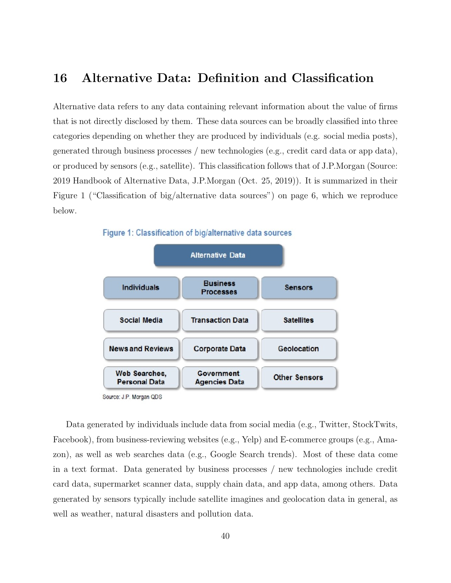### <span id="page-39-0"></span>16 Alternative Data: Definition and Classification

Alternative data refers to any data containing relevant information about the value of firms that is not directly disclosed by them. These data sources can be broadly classified into three categories depending on whether they are produced by individuals (e.g. social media posts), generated through business processes / new technologies (e.g., credit card data or app data), or produced by sensors (e.g., satellite). This classification follows that of J.P.Morgan (Source: 2019 Handbook of Alternative Data, J.P.Morgan (Oct. 25, 2019)). It is summarized in their Figure 1 ("Classification of big/alternative data sources") on page 6, which we reproduce below.



Source: J.P. Morgan QDS

Data generated by individuals include data from social media (e.g., Twitter, StockTwits, Facebook), from business-reviewing websites (e.g., Yelp) and E-commerce groups (e.g., Amazon), as well as web searches data (e.g., Google Search trends). Most of these data come in a text format. Data generated by business processes / new technologies include credit card data, supermarket scanner data, supply chain data, and app data, among others. Data generated by sensors typically include satellite imagines and geolocation data in general, as well as weather, natural disasters and pollution data.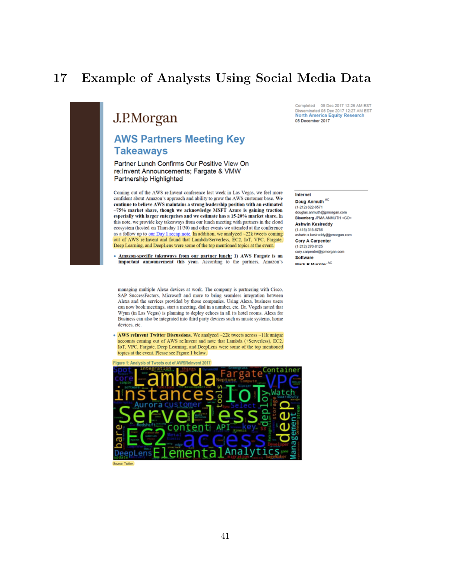## <span id="page-40-0"></span>17 Example of Analysts Using Social Media Data

## J.P.Morgan

### **AWS Partners Meeting Key Takeaways**

Partner Lunch Confirms Our Positive View On re:Invent Announcements: Fargate & VMW Partnership Highlighted

Coming out of the AWS re:Invent conference last week in Las Vegas, we feel more confident about Amazon's approach and ability to grow the AWS customer base. We continue to believe AWS maintains a strong leadership position with an estimated ~75% market share, though we acknowledge MSFT Azure is gaining traction especially with larger enterprises and we estimate has a 15-20% market share. In this note, we provide key takeaways from our lunch meeting with partners in the cloud ecosystem (hosted on Thursday 11/30) and other events we attended at the conference as a follow up to <u>our Day 1 recap note</u>. In addition, we analyzed ~22k tweets coming out of AWS re:Invent and found that Lambda/Serverless, EC2, IoT, VPC, Fargate, Deep Learning, and DeepLens were some of the top mentioned topics at the event.

Amazon-specific takeaways from our partner lunch: 1) AWS Fargate is an important announcement this year. According to the partners, Amazon's

managing multiple Alexa devices at work. The company is partnering with Cisco, SAP SuccessFactors, Microsoft and more to bring seamless integration between Alexa and the services provided by those companies. Using Alexa, business users can now book meetings, start a meeting, dial in a number, etc. Dr. Vogels noted that Wynn (in Las Vegas) is planning to deploy echoes in all its hotel rooms. Alexa for Business can also be integrated into third party devices such as music systems, home devices, etc.

• AWS reInvent Twitter Discussions. We analyzed ~22k tweets across ~11k unique accounts coming out of AWS re:Invent and note that Lambda (+Serverless), EC2, IoT, VPC, Fargate, Deep Learning, and DeepLens were some of the top mentioned topics at the event. Please see Figure 1 below.





Disseminated 05 Dec 2017 12:27 AM EST **North America Equity Research** 05 December 2017

Completed 05 Dec 2017 12:26 AM EST

#### Internet

Doug Anmuth AC (1-212) 622-6571 douglas.anmuth@jpmorgan.com Bloomberg JPMA ANMUTH <GO>

**Ashwin Kesireddy**  $(1-415)$  315-6756 ashwin.x.kesireddy@jpmorgan.com

**Cory A Carpenter**  $(1-212)$  270-8125 cory.carpenter@jpmorgan.com

**Software** Mark P Murnhy <sup>AC</sup>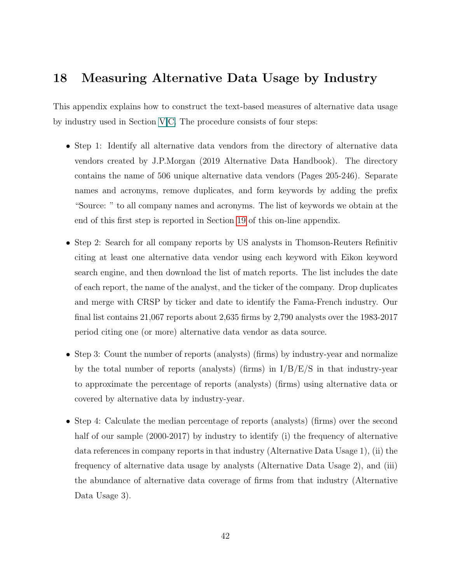### <span id="page-41-0"></span>18 Measuring Alternative Data Usage by Industry

This appendix explains how to construct the text-based measures of alternative data usage by industry used in Section [V](#page-7-1).C. The procedure consists of four steps:

- Step 1: Identify all alternative data vendors from the directory of alternative data vendors created by J.P.Morgan (2019 Alternative Data Handbook). The directory contains the name of 506 unique alternative data vendors (Pages 205-246). Separate names and acronyms, remove duplicates, and form keywords by adding the prefix "Source: " to all company names and acronyms. The list of keywords we obtain at the end of this first step is reported in Section [19](#page-43-0) of this on-line appendix.
- Step 2: Search for all company reports by US analysts in Thomson-Reuters Refinitiv citing at least one alternative data vendor using each keyword with Eikon keyword search engine, and then download the list of match reports. The list includes the date of each report, the name of the analyst, and the ticker of the company. Drop duplicates and merge with CRSP by ticker and date to identify the Fama-French industry. Our final list contains 21,067 reports about 2,635 firms by 2,790 analysts over the 1983-2017 period citing one (or more) alternative data vendor as data source.
- Step 3: Count the number of reports (analysts) (firms) by industry-year and normalize by the total number of reports (analysts) (firms) in  $I/B/E/S$  in that industry-year to approximate the percentage of reports (analysts) (firms) using alternative data or covered by alternative data by industry-year.
- Step 4: Calculate the median percentage of reports (analysts) (firms) over the second half of our sample (2000-2017) by industry to identify (i) the frequency of alternative data references in company reports in that industry (Alternative Data Usage 1), (ii) the frequency of alternative data usage by analysts (Alternative Data Usage 2), and (iii) the abundance of alternative data coverage of firms from that industry (Alternative Data Usage 3).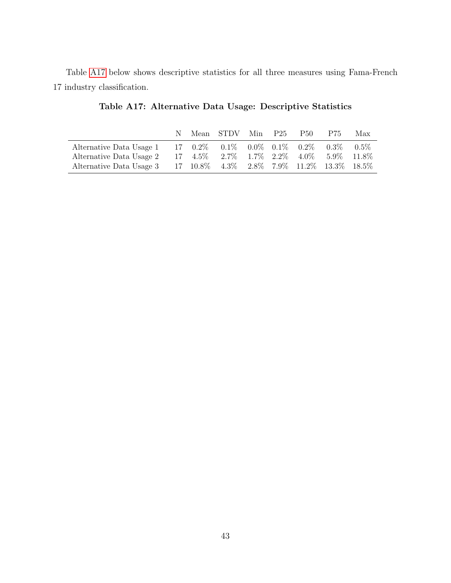<span id="page-42-0"></span>Table [A17](#page-42-0) below shows descriptive statistics for all three measures using Fama-French 17 industry classification.

|                                                                    |  | Mean STDV Min P25 |  | P50 = | P75. | Max |
|--------------------------------------------------------------------|--|-------------------|--|-------|------|-----|
| Alternative Data Usage 1 17 0.2% 0.1% 0.0% 0.1% 0.2% 0.3% 0.5%     |  |                   |  |       |      |     |
| Alternative Data Usage 2 17 4.5% 2.7% 1.7% 2.2% 4.0% 5.9% 11.8%    |  |                   |  |       |      |     |
| Alternative Data Usage 3 17 10.8% 4.3% 2.8% 7.9% 11.2% 13.3% 18.5% |  |                   |  |       |      |     |

Table A17: Alternative Data Usage: Descriptive Statistics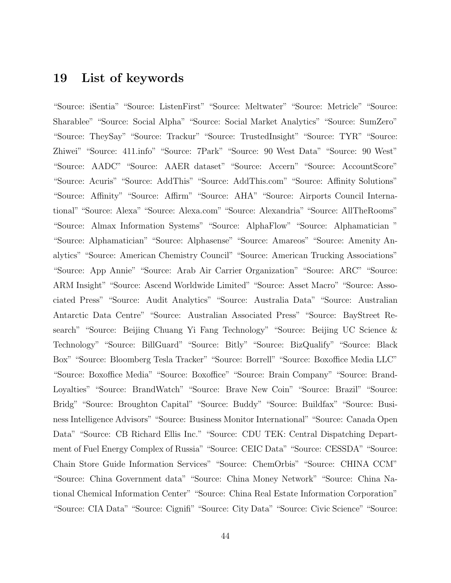### <span id="page-43-0"></span>19 List of keywords

"Source: iSentia" "Source: ListenFirst" "Source: Meltwater" "Source: Metricle" "Source: Sharablee" "Source: Social Alpha" "Source: Social Market Analytics" "Source: SumZero" "Source: TheySay" "Source: Trackur" "Source: TrustedInsight" "Source: TYR" "Source: Zhiwei" "Source: 411.info" "Source: 7Park" "Source: 90 West Data" "Source: 90 West" "Source: AADC" "Source: AAER dataset" "Source: Accern" "Source: AccountScore" "Source: Acuris" "Source: AddThis" "Source: AddThis.com" "Source: Affinity Solutions" "Source: Affinity" "Source: Affirm" "Source: AHA" "Source: Airports Council International" "Source: Alexa" "Source: Alexa.com" "Source: Alexandria" "Source: AllTheRooms" "Source: Almax Information Systems" "Source: AlphaFlow" "Source: Alphamatician " "Source: Alphamatician" "Source: Alphasense" "Source: Amareos" "Source: Amenity Analytics" "Source: American Chemistry Council" "Source: American Trucking Associations" "Source: App Annie" "Source: Arab Air Carrier Organization" "Source: ARC" "Source: ARM Insight" "Source: Ascend Worldwide Limited" "Source: Asset Macro" "Source: Associated Press" "Source: Audit Analytics" "Source: Australia Data" "Source: Australian Antarctic Data Centre" "Source: Australian Associated Press" "Source: BayStreet Research" "Source: Beijing Chuang Yi Fang Technology" "Source: Beijing UC Science & Technology" "Source: BillGuard" "Source: Bitly" "Source: BizQualify" "Source: Black Box" "Source: Bloomberg Tesla Tracker" "Source: Borrell" "Source: Boxoffice Media LLC" "Source: Boxoffice Media" "Source: Boxoffice" "Source: Brain Company" "Source: Brand-Loyalties" "Source: BrandWatch" "Source: Brave New Coin" "Source: Brazil" "Source: Bridg" "Source: Broughton Capital" "Source: Buddy" "Source: Buildfax" "Source: Business Intelligence Advisors" "Source: Business Monitor International" "Source: Canada Open Data" "Source: CB Richard Ellis Inc." "Source: CDU TEK: Central Dispatching Department of Fuel Energy Complex of Russia" "Source: CEIC Data" "Source: CESSDA" "Source: Chain Store Guide Information Services" "Source: ChemOrbis" "Source: CHINA CCM" "Source: China Government data" "Source: China Money Network" "Source: China National Chemical Information Center" "Source: China Real Estate Information Corporation" "Source: CIA Data" "Source: Cignifi" "Source: City Data" "Source: Civic Science" "Source: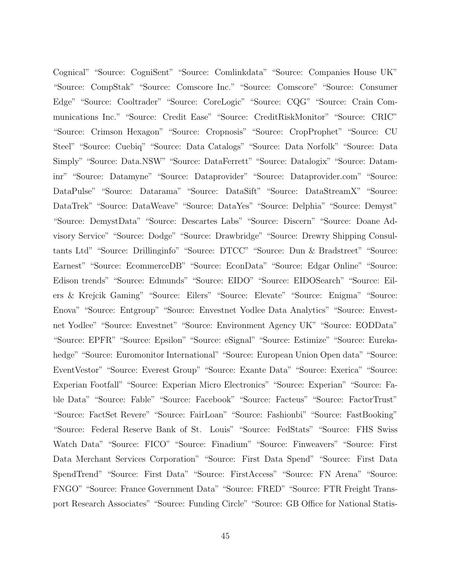Cognical" "Source: CogniSent" "Source: Comlinkdata" "Source: Companies House UK" "Source: CompStak" "Source: Comscore Inc." "Source: Comscore" "Source: Consumer Edge" "Source: Cooltrader" "Source: CoreLogic" "Source: CQG" "Source: Crain Communications Inc." "Source: Credit Ease" "Source: CreditRiskMonitor" "Source: CRIC" "Source: Crimson Hexagon" "Source: Cropnosis" "Source: CropProphet" "Source: CU Steel" "Source: Cuebiq" "Source: Data Catalogs" "Source: Data Norfolk" "Source: Data Simply" "Source: Data.NSW" "Source: DataFerrett" "Source: Datalogix" "Source: Dataminr" "Source: Datamyne" "Source: Dataprovider" "Source: Dataprovider.com" "Source: DataPulse" "Source: Datarama" "Source: DataSift" "Source: DataStreamX" "Source: DataTrek" "Source: DataWeave" "Source: DataYes" "Source: Delphia" "Source: Demyst" "Source: DemystData" "Source: Descartes Labs" "Source: Discern" "Source: Doane Advisory Service" "Source: Dodge" "Source: Drawbridge" "Source: Drewry Shipping Consultants Ltd" "Source: Drillinginfo" "Source: DTCC" "Source: Dun & Bradstreet" "Source: Earnest" "Source: EcommerceDB" "Source: EconData" "Source: Edgar Online" "Source: Edison trends" "Source: Edmunds" "Source: EIDO" "Source: EIDOSearch" "Source: Eilers & Krejcik Gaming" "Source: Eilers" "Source: Elevate" "Source: Enigma" "Source: Enova" "Source: Entgroup" "Source: Envestnet Yodlee Data Analytics" "Source: Envestnet Yodlee" "Source: Envestnet" "Source: Environment Agency UK" "Source: EODData" "Source: EPFR" "Source: Epsilon" "Source: eSignal" "Source: Estimize" "Source: Eurekahedge" "Source: Euromonitor International" "Source: European Union Open data" "Source: EventVestor" "Source: Everest Group" "Source: Exante Data" "Source: Exerica" "Source: Experian Footfall" "Source: Experian Micro Electronics" "Source: Experian" "Source: Fable Data" "Source: Fable" "Source: Facebook" "Source: Facteus" "Source: FactorTrust" "Source: FactSet Revere" "Source: FairLoan" "Source: Fashionbi" "Source: FastBooking" "Source: Federal Reserve Bank of St. Louis" "Source: FedStats" "Source: FHS Swiss Watch Data" "Source: FICO" "Source: Finadium" "Source: Finweavers" "Source: First Data Merchant Services Corporation" "Source: First Data Spend" "Source: First Data SpendTrend" "Source: First Data" "Source: FirstAccess" "Source: FN Arena" "Source: FNGO" "Source: France Government Data" "Source: FRED" "Source: FTR Freight Transport Research Associates" "Source: Funding Circle" "Source: GB Office for National Statis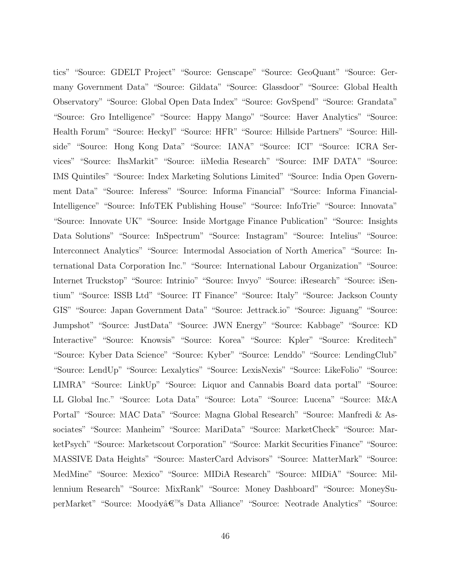tics" "Source: GDELT Project" "Source: Genscape" "Source: GeoQuant" "Source: Germany Government Data" "Source: Gildata" "Source: Glassdoor" "Source: Global Health Observatory" "Source: Global Open Data Index" "Source: GovSpend" "Source: Grandata" "Source: Gro Intelligence" "Source: Happy Mango" "Source: Haver Analytics" "Source: Health Forum" "Source: Heckyl" "Source: HFR" "Source: Hillside Partners" "Source: Hillside" "Source: Hong Kong Data" "Source: IANA" "Source: ICI" "Source: ICRA Services" "Source: IhsMarkit" "Source: iiMedia Research" "Source: IMF DATA" "Source: IMS Quintiles" "Source: Index Marketing Solutions Limited" "Source: India Open Government Data" "Source: Inferess" "Source: Informa Financial" "Source: Informa Financial-Intelligence" "Source: InfoTEK Publishing House" "Source: InfoTrie" "Source: Innovata" "Source: Innovate UK" "Source: Inside Mortgage Finance Publication" "Source: Insights Data Solutions" "Source: InSpectrum" "Source: Instagram" "Source: Intelius" "Source: Interconnect Analytics" "Source: Intermodal Association of North America" "Source: International Data Corporation Inc." "Source: International Labour Organization" "Source: Internet Truckstop" "Source: Intrinio" "Source: Invyo" "Source: iResearch" "Source: iSentium" "Source: ISSB Ltd" "Source: IT Finance" "Source: Italy" "Source: Jackson County GIS" "Source: Japan Government Data" "Source: Jettrack.io" "Source: Jiguang" "Source: Jumpshot" "Source: JustData" "Source: JWN Energy" "Source: Kabbage" "Source: KD Interactive" "Source: Knowsis" "Source: Korea" "Source: Kpler" "Source: Kreditech" "Source: Kyber Data Science" "Source: Kyber" "Source: Lenddo" "Source: LendingClub" "Source: LendUp" "Source: Lexalytics" "Source: LexisNexis" "Source: LikeFolio" "Source: LIMRA" "Source: LinkUp" "Source: Liquor and Cannabis Board data portal" "Source: LL Global Inc." "Source: Lota Data" "Source: Lota" "Source: Lucena" "Source: M&A Portal" "Source: MAC Data" "Source: Magna Global Research" "Source: Manfredi & Associates" "Source: Manheim" "Source: MariData" "Source: MarketCheck" "Source: MarketPsych" "Source: Marketscout Corporation" "Source: Markit Securities Finance" "Source: MASSIVE Data Heights" "Source: MasterCard Advisors" "Source: MatterMark" "Source: MedMine" "Source: Mexico" "Source: MIDiA Research" "Source: MIDiA" "Source: Millennium Research" "Source: MixRank" "Source: Money Dashboard" "Source: MoneySuperMarket" "Source: Moody's Data Alliance" "Source: Neotrade Analytics" "Source: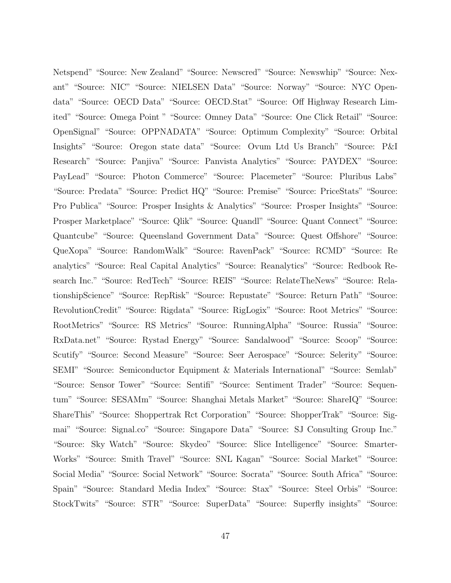Netspend" "Source: New Zealand" "Source: Newscred" "Source: Newswhip" "Source: Nexant" "Source: NIC" "Source: NIELSEN Data" "Source: Norway" "Source: NYC Opendata" "Source: OECD Data" "Source: OECD.Stat" "Source: Off Highway Research Limited" "Source: Omega Point " "Source: Omney Data" "Source: One Click Retail" "Source: OpenSignal" "Source: OPPNADATA" "Source: Optimum Complexity" "Source: Orbital Insights" "Source: Oregon state data" "Source: Ovum Ltd Us Branch" "Source: P&I Research" "Source: Panjiva" "Source: Panvista Analytics" "Source: PAYDEX" "Source: PayLead" "Source: Photon Commerce" "Source: Placemeter" "Source: Pluribus Labs" "Source: Predata" "Source: Predict HQ" "Source: Premise" "Source: PriceStats" "Source: Pro Publica" "Source: Prosper Insights & Analytics" "Source: Prosper Insights" "Source: Prosper Marketplace" "Source: Qlik" "Source: Quandl" "Source: Quant Connect" "Source: Quantcube" "Source: Queensland Government Data" "Source: Quest Offshore" "Source: QueXopa" "Source: RandomWalk" "Source: RavenPack" "Source: RCMD" "Source: Re analytics" "Source: Real Capital Analytics" "Source: Reanalytics" "Source: Redbook Research Inc." "Source: RedTech" "Source: REIS" "Source: RelateTheNews" "Source: RelationshipScience" "Source: RepRisk" "Source: Repustate" "Source: Return Path" "Source: RevolutionCredit" "Source: Rigdata" "Source: RigLogix" "Source: Root Metrics" "Source: RootMetrics" "Source: RS Metrics" "Source: RunningAlpha" "Source: Russia" "Source: RxData.net" "Source: Rystad Energy" "Source: Sandalwood" "Source: Scoop" "Source: Scutify" "Source: Second Measure" "Source: Seer Aerospace" "Source: Selerity" "Source: SEMI" "Source: Semiconductor Equipment & Materials International" "Source: Semlab" "Source: Sensor Tower" "Source: Sentifi" "Source: Sentiment Trader" "Source: Sequentum" "Source: SESAMm" "Source: Shanghai Metals Market" "Source: ShareIQ" "Source: ShareThis" "Source: Shoppertrak Rct Corporation" "Source: ShopperTrak" "Source: Sigmai" "Source: Signal.co" "Source: Singapore Data" "Source: SJ Consulting Group Inc." "Source: Sky Watch" "Source: Skydeo" "Source: Slice Intelligence" "Source: Smarter-Works" "Source: Smith Travel" "Source: SNL Kagan" "Source: Social Market" "Source: Social Media" "Source: Social Network" "Source: Socrata" "Source: South Africa" "Source: Spain" "Source: Standard Media Index" "Source: Stax" "Source: Steel Orbis" "Source: StockTwits" "Source: STR" "Source: SuperData" "Source: Superfly insights" "Source: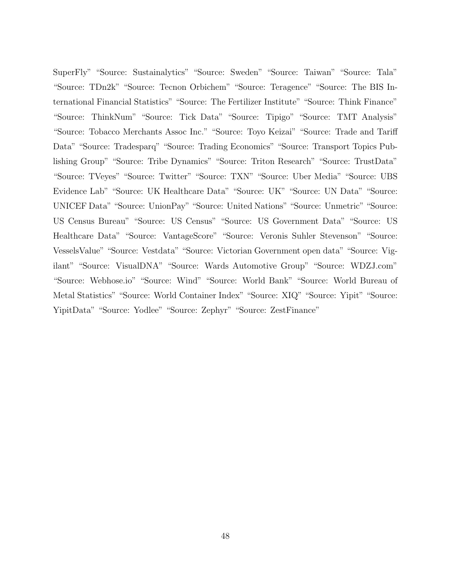SuperFly" "Source: Sustainalytics" "Source: Sweden" "Source: Taiwan" "Source: Tala" "Source: TDn2k" "Source: Tecnon Orbichem" "Source: Teragence" "Source: The BIS International Financial Statistics" "Source: The Fertilizer Institute" "Source: Think Finance" "Source: ThinkNum" "Source: Tick Data" "Source: Tipigo" "Source: TMT Analysis" "Source: Tobacco Merchants Assoc Inc." "Source: Toyo Keizai" "Source: Trade and Tariff Data" "Source: Tradesparq" "Source: Trading Economics" "Source: Transport Topics Publishing Group" "Source: Tribe Dynamics" "Source: Triton Research" "Source: TrustData" "Source: TVeyes" "Source: Twitter" "Source: TXN" "Source: Uber Media" "Source: UBS Evidence Lab" "Source: UK Healthcare Data" "Source: UK" "Source: UN Data" "Source: UNICEF Data" "Source: UnionPay" "Source: United Nations" "Source: Unmetric" "Source: US Census Bureau" "Source: US Census" "Source: US Government Data" "Source: US Healthcare Data" "Source: VantageScore" "Source: Veronis Suhler Stevenson" "Source: VesselsValue" "Source: Vestdata" "Source: Victorian Government open data" "Source: Vigilant" "Source: VisualDNA" "Source: Wards Automotive Group" "Source: WDZJ.com" "Source: Webhose.io" "Source: Wind" "Source: World Bank" "Source: World Bureau of Metal Statistics" "Source: World Container Index" "Source: XIQ" "Source: Yipit" "Source: YipitData" "Source: Yodlee" "Source: Zephyr" "Source: ZestFinance"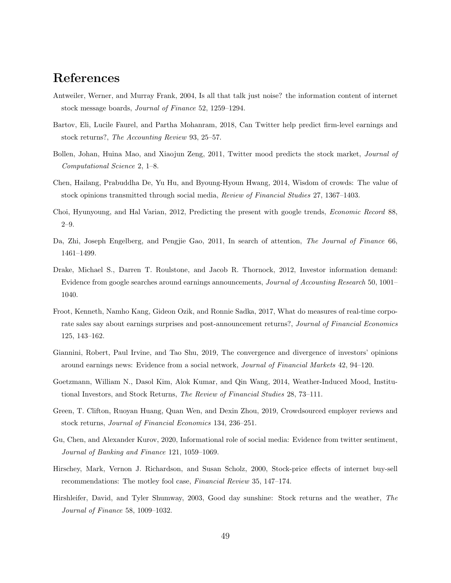## References

- Antweiler, Werner, and Murray Frank, 2004, Is all that talk just noise? the information content of internet stock message boards, Journal of Finance 52, 1259–1294.
- Bartov, Eli, Lucile Faurel, and Partha Mohanram, 2018, Can Twitter help predict firm-level earnings and stock returns?, The Accounting Review 93, 25–57.
- Bollen, Johan, Huina Mao, and Xiaojun Zeng, 2011, Twitter mood predicts the stock market, Journal of Computational Science 2, 1–8.
- Chen, Hailang, Prabuddha De, Yu Hu, and Byoung-Hyoun Hwang, 2014, Wisdom of crowds: The value of stock opinions transmitted through social media, Review of Financial Studies 27, 1367–1403.
- Choi, Hyunyoung, and Hal Varian, 2012, Predicting the present with google trends, Economic Record 88, 2–9.
- Da, Zhi, Joseph Engelberg, and Pengjie Gao, 2011, In search of attention, The Journal of Finance 66, 1461–1499.
- Drake, Michael S., Darren T. Roulstone, and Jacob R. Thornock, 2012, Investor information demand: Evidence from google searches around earnings announcements, Journal of Accounting Research 50, 1001– 1040.
- Froot, Kenneth, Namho Kang, Gideon Ozik, and Ronnie Sadka, 2017, What do measures of real-time corporate sales say about earnings surprises and post-announcement returns?, Journal of Financial Economics 125, 143–162.
- Giannini, Robert, Paul Irvine, and Tao Shu, 2019, The convergence and divergence of investors' opinions around earnings news: Evidence from a social network, Journal of Financial Markets 42, 94–120.
- Goetzmann, William N., Dasol Kim, Alok Kumar, and Qin Wang, 2014, Weather-Induced Mood, Institutional Investors, and Stock Returns, The Review of Financial Studies 28, 73–111.
- Green, T. Clifton, Ruoyan Huang, Quan Wen, and Dexin Zhou, 2019, Crowdsourced employer reviews and stock returns, Journal of Financial Economics 134, 236–251.
- Gu, Chen, and Alexander Kurov, 2020, Informational role of social media: Evidence from twitter sentiment, Journal of Banking and Finance 121, 1059–1069.
- Hirschey, Mark, Vernon J. Richardson, and Susan Scholz, 2000, Stock-price effects of internet buy-sell recommendations: The motley fool case, Financial Review 35, 147–174.
- Hirshleifer, David, and Tyler Shumway, 2003, Good day sunshine: Stock returns and the weather, The Journal of Finance 58, 1009–1032.